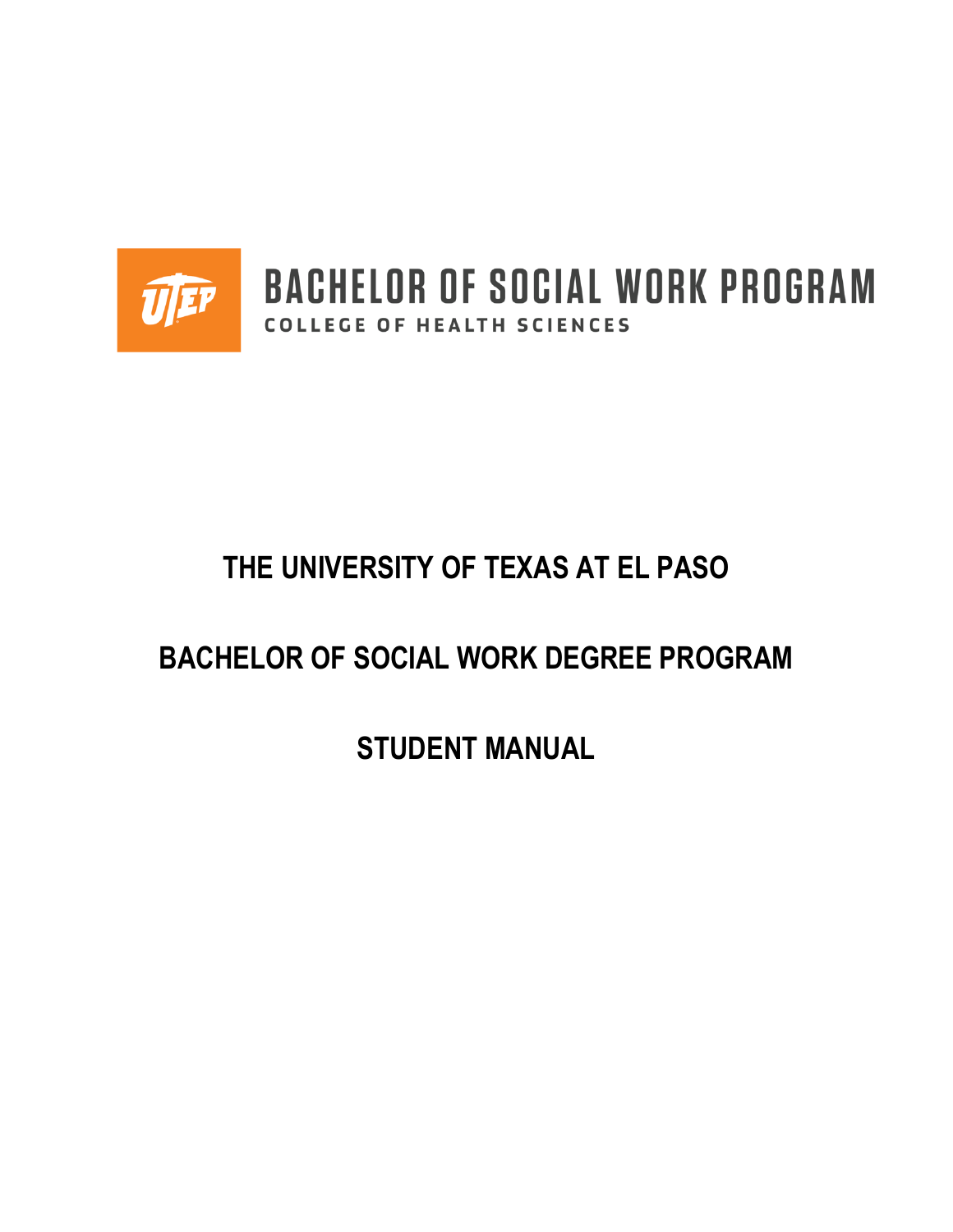

**BACHELOR OF SOCIAL WORK PROGRAM** COLLEGE OF HEALTH SCIENCES

# **THE UNIVERSITY OF TEXAS AT EL PASO**

# **BACHELOR OF SOCIAL WORK DEGREE PROGRAM**

**STUDENT MANUAL**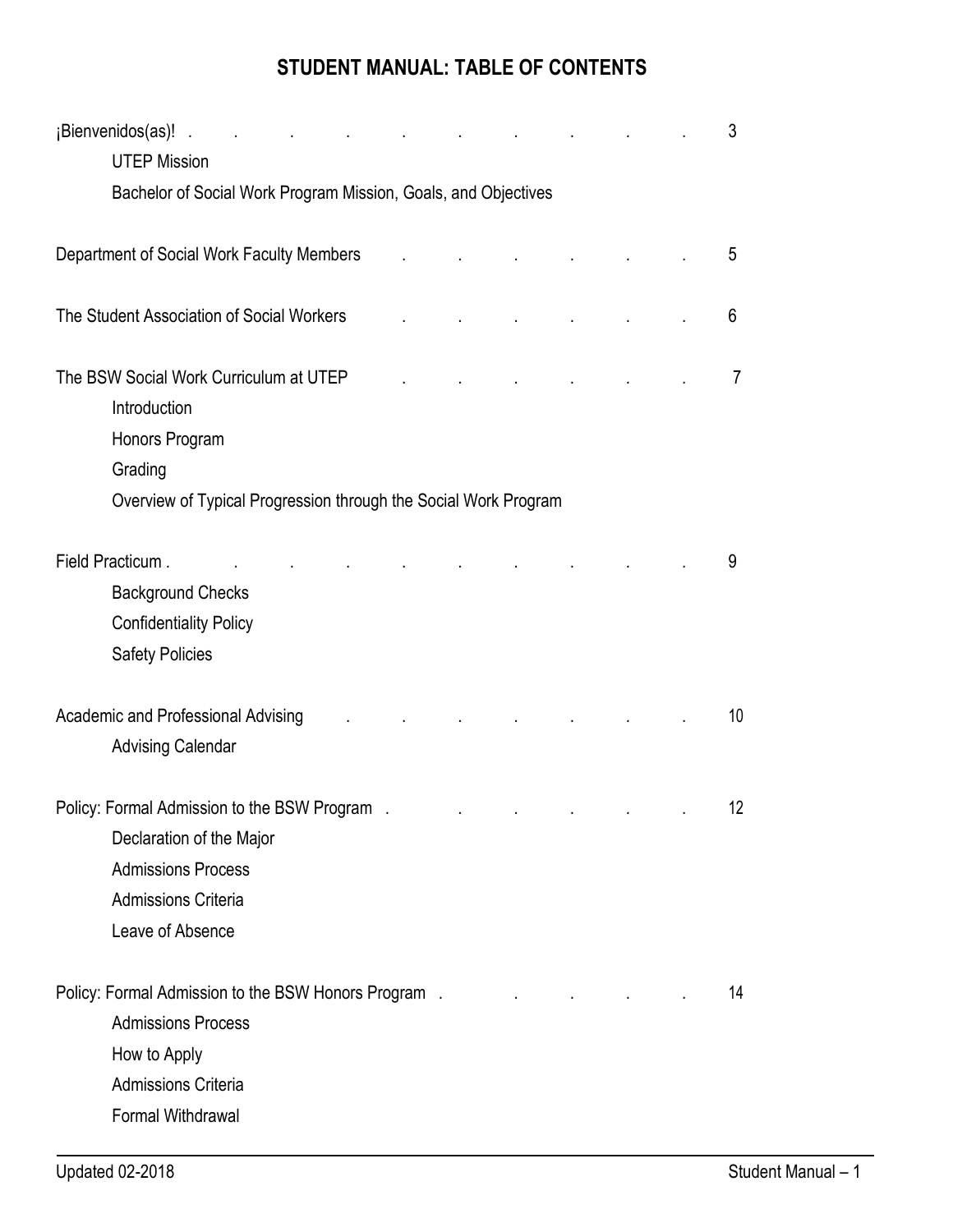# **STUDENT MANUAL: TABLE OF CONTENTS**

| ¡Bienvenidos(as)!.                                              |  |  |  |  |  |  | 3              |
|-----------------------------------------------------------------|--|--|--|--|--|--|----------------|
| <b>UTEP Mission</b>                                             |  |  |  |  |  |  |                |
| Bachelor of Social Work Program Mission, Goals, and Objectives  |  |  |  |  |  |  |                |
|                                                                 |  |  |  |  |  |  |                |
| Department of Social Work Faculty Members                       |  |  |  |  |  |  | 5              |
| The Student Association of Social Workers                       |  |  |  |  |  |  | 6              |
| The BSW Social Work Curriculum at UTEP                          |  |  |  |  |  |  | $\overline{7}$ |
| Introduction                                                    |  |  |  |  |  |  |                |
| Honors Program                                                  |  |  |  |  |  |  |                |
| Grading                                                         |  |  |  |  |  |  |                |
| Overview of Typical Progression through the Social Work Program |  |  |  |  |  |  |                |
| Field Practicum.                                                |  |  |  |  |  |  | 9              |
|                                                                 |  |  |  |  |  |  |                |
| <b>Background Checks</b>                                        |  |  |  |  |  |  |                |
| <b>Confidentiality Policy</b>                                   |  |  |  |  |  |  |                |
| <b>Safety Policies</b>                                          |  |  |  |  |  |  |                |
| Academic and Professional Advising                              |  |  |  |  |  |  | 10             |
| <b>Advising Calendar</b>                                        |  |  |  |  |  |  |                |
| Policy: Formal Admission to the BSW Program.                    |  |  |  |  |  |  | 12             |
| Declaration of the Major                                        |  |  |  |  |  |  |                |
| <b>Admissions Process</b>                                       |  |  |  |  |  |  |                |
| <b>Admissions Criteria</b>                                      |  |  |  |  |  |  |                |
| Leave of Absence                                                |  |  |  |  |  |  |                |
|                                                                 |  |  |  |  |  |  |                |
| Policy: Formal Admission to the BSW Honors Program.             |  |  |  |  |  |  | 14             |
| <b>Admissions Process</b>                                       |  |  |  |  |  |  |                |
| How to Apply                                                    |  |  |  |  |  |  |                |
| <b>Admissions Criteria</b>                                      |  |  |  |  |  |  |                |
| Formal Withdrawal                                               |  |  |  |  |  |  |                |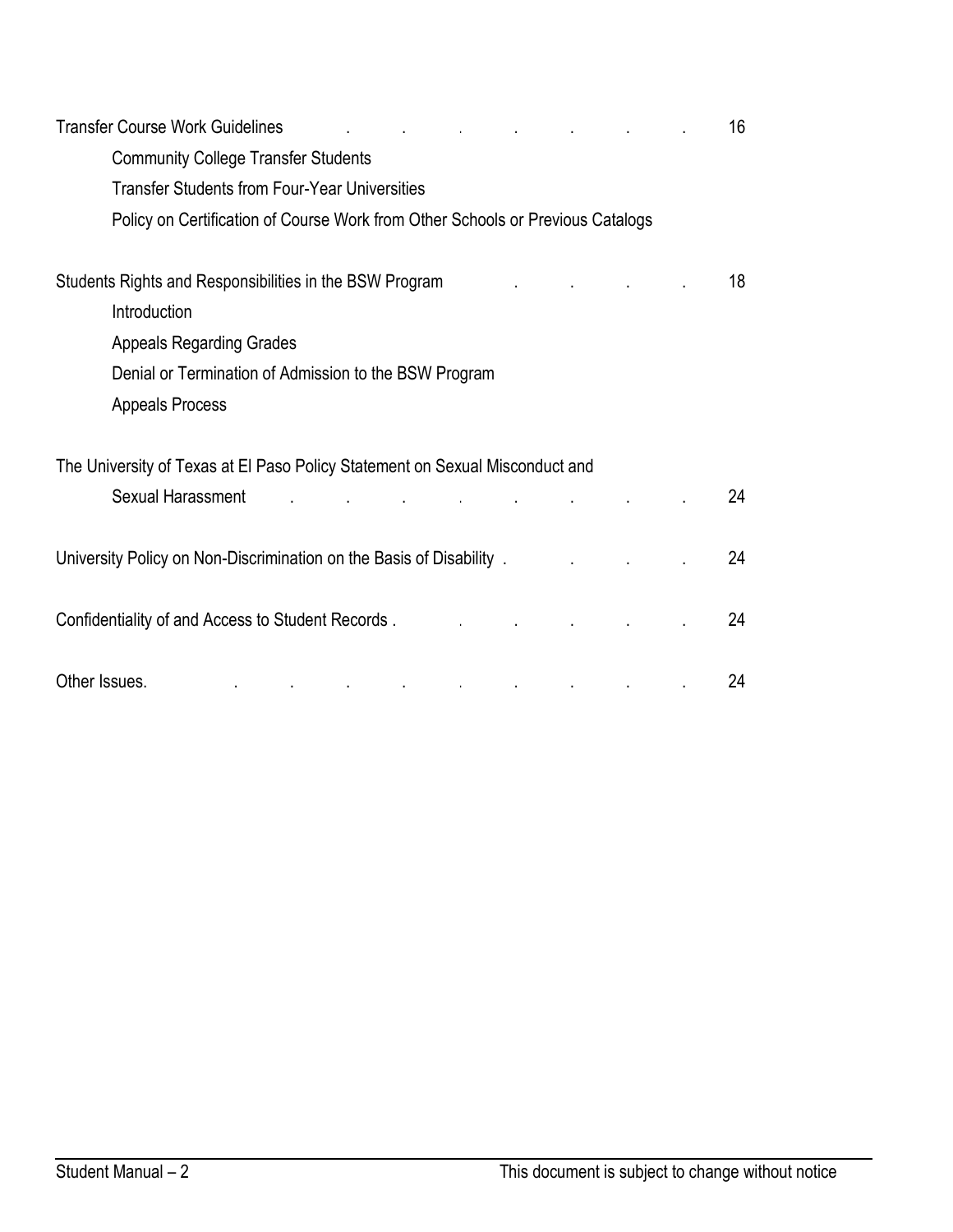| <b>Transfer Course Work Guidelines</b>                                         |  |  | 16 |
|--------------------------------------------------------------------------------|--|--|----|
| <b>Community College Transfer Students</b>                                     |  |  |    |
| <b>Transfer Students from Four-Year Universities</b>                           |  |  |    |
| Policy on Certification of Course Work from Other Schools or Previous Catalogs |  |  |    |
| Students Rights and Responsibilities in the BSW Program                        |  |  | 18 |
| Introduction                                                                   |  |  |    |
| <b>Appeals Regarding Grades</b>                                                |  |  |    |
| Denial or Termination of Admission to the BSW Program                          |  |  |    |
| <b>Appeals Process</b>                                                         |  |  |    |
| The University of Texas at El Paso Policy Statement on Sexual Misconduct and   |  |  |    |
| Sexual Harassment                                                              |  |  | 24 |
| University Policy on Non-Discrimination on the Basis of Disability.            |  |  | 24 |
| Confidentiality of and Access to Student Records.                              |  |  | 24 |
| Other Issues.<br>$\mathbf{r}^{\prime}$                                         |  |  | 24 |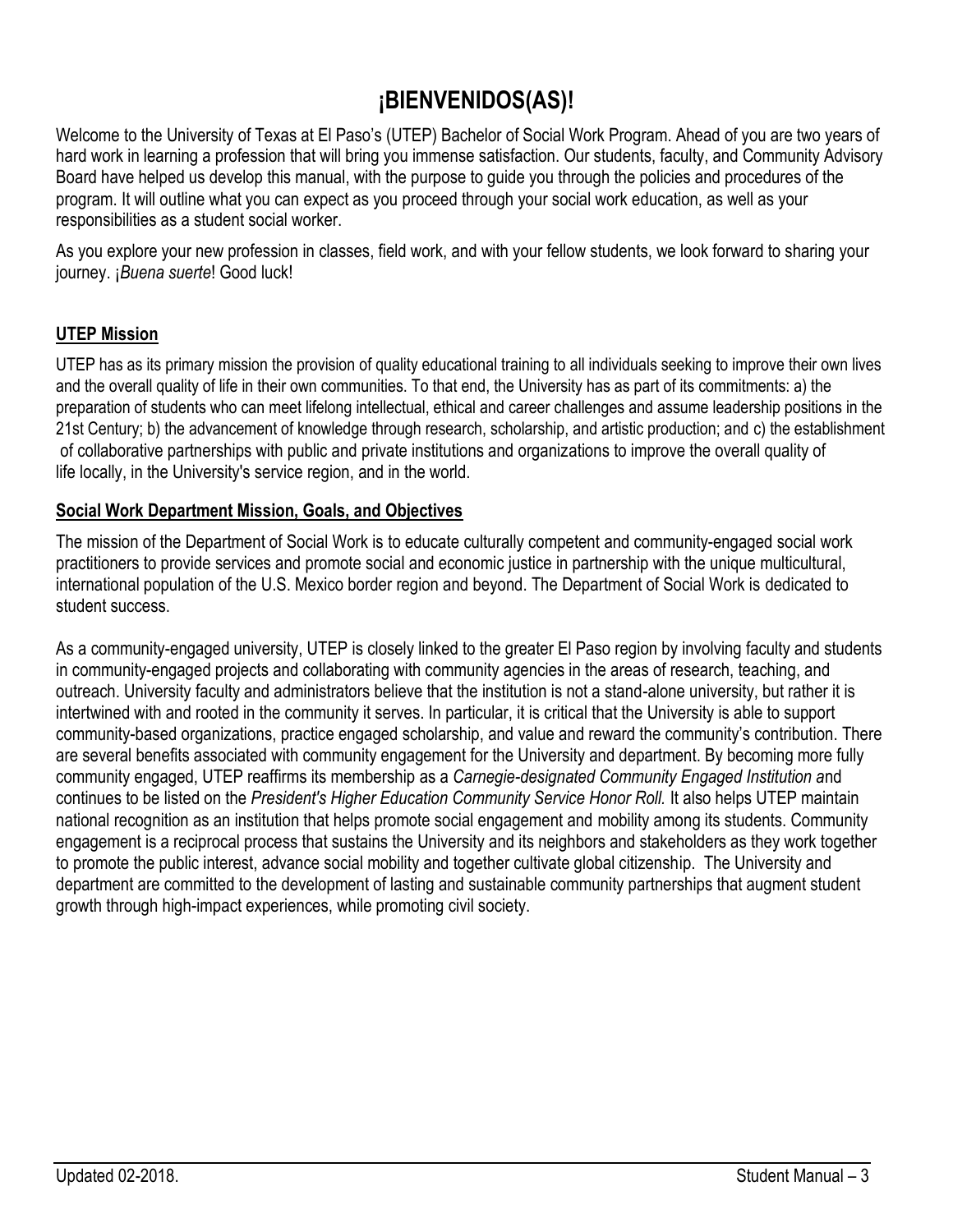# **¡BIENVENIDOS(AS)!**

Welcome to the University of Texas at El Paso's (UTEP) Bachelor of Social Work Program. Ahead of you are two years of hard work in learning a profession that will bring you immense satisfaction. Our students, faculty, and Community Advisory Board have helped us develop this manual, with the purpose to guide you through the policies and procedures of the program. It will outline what you can expect as you proceed through your social work education, as well as your responsibilities as a student social worker.

As you explore your new profession in classes, field work, and with your fellow students, we look forward to sharing your journey. ¡*Buena suerte*! Good luck!

### **UTEP Mission**

UTEP has as its primary mission the provision of quality educational training to all individuals seeking to improve their own lives and the overall quality of life in their own communities. To that end, the University has as part of its commitments: a) the preparation of students who can meet lifelong intellectual, ethical and career challenges and assume leadership positions in the 21st Century; b) the advancement of knowledge through research, scholarship, and artistic production; and c) the establishment of collaborative partnerships with public and private institutions and organizations to improve the overall quality of life locally, in the University's service region, and in the world.

### **Social Work Department Mission, Goals, and Objectives**

The mission of the Department of Social Work is to educate culturally competent and community-engaged social work practitioners to provide services and promote social and economic justice in partnership with the unique multicultural, international population of the U.S. Mexico border region and beyond. The Department of Social Work is dedicated to student success.

As a community-engaged university, UTEP is closely linked to the greater El Paso region by involving faculty and students in community-engaged projects and collaborating with community agencies in the areas of research, teaching, and outreach. University faculty and administrators believe that the institution is not a stand-alone university, but rather it is intertwined with and rooted in the community it serves. In particular, it is critical that the University is able to support community-based organizations, practice engaged scholarship, and value and reward the community's contribution. There are several benefits associated with community engagement for the University and department. By becoming more fully community engaged, UTEP reaffirms its membership as a *Carnegie-designated Community Engaged Institution a*nd continues to be listed on the *President's Higher Education Community Service Honor Roll.* It also helps UTEP maintain national recognition as an institution that helps promote social engagement and mobility among its students. Community engagement is a reciprocal process that sustains the University and its neighbors and stakeholders as they work together to promote the public interest, advance social mobility and together cultivate global citizenship. The University and department are committed to the development of lasting and sustainable community partnerships that augment student growth through high-impact experiences, while promoting civil society.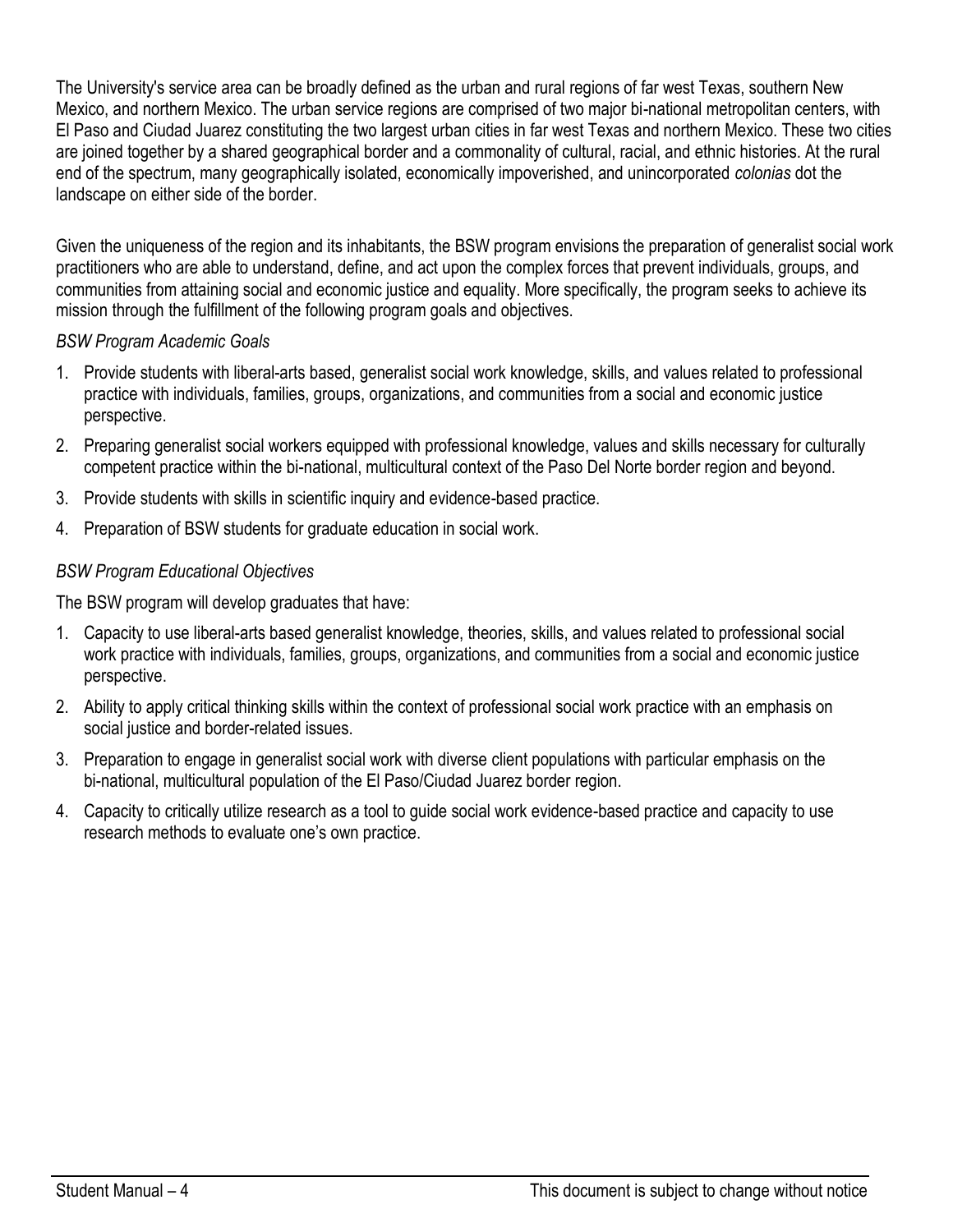The University's service area can be broadly defined as the urban and rural regions of far west Texas, southern New Mexico, and northern Mexico. The urban service regions are comprised of two major bi-national metropolitan centers, with El Paso and Ciudad Juarez constituting the two largest urban cities in far west Texas and northern Mexico. These two cities are joined together by a shared geographical border and a commonality of cultural, racial, and ethnic histories. At the rural end of the spectrum, many geographically isolated, economically impoverished, and unincorporated *colonias* dot the landscape on either side of the border.

Given the uniqueness of the region and its inhabitants, the BSW program envisions the preparation of generalist social work practitioners who are able to understand, define, and act upon the complex forces that prevent individuals, groups, and communities from attaining social and economic justice and equality. More specifically, the program seeks to achieve its mission through the fulfillment of the following program goals and objectives.

### *BSW Program Academic Goals*

- 1. Provide students with liberal-arts based, generalist social work knowledge, skills, and values related to professional practice with individuals, families, groups, organizations, and communities from a social and economic justice perspective.
- 2. Preparing generalist social workers equipped with professional knowledge, values and skills necessary for culturally competent practice within the bi-national, multicultural context of the Paso Del Norte border region and beyond.
- 3. Provide students with skills in scientific inquiry and evidence-based practice.
- 4. Preparation of BSW students for graduate education in social work.

### *BSW Program Educational Objectives*

The BSW program will develop graduates that have:

- 1. Capacity to use liberal-arts based generalist knowledge, theories, skills, and values related to professional social work practice with individuals, families, groups, organizations, and communities from a social and economic justice perspective.
- 2. Ability to apply critical thinking skills within the context of professional social work practice with an emphasis on social justice and border-related issues.
- 3. Preparation to engage in generalist social work with diverse client populations with particular emphasis on the bi-national, multicultural population of the El Paso/Ciudad Juarez border region.
- 4. Capacity to critically utilize research as a tool to guide social work evidence-based practice and capacity to use research methods to evaluate one's own practice.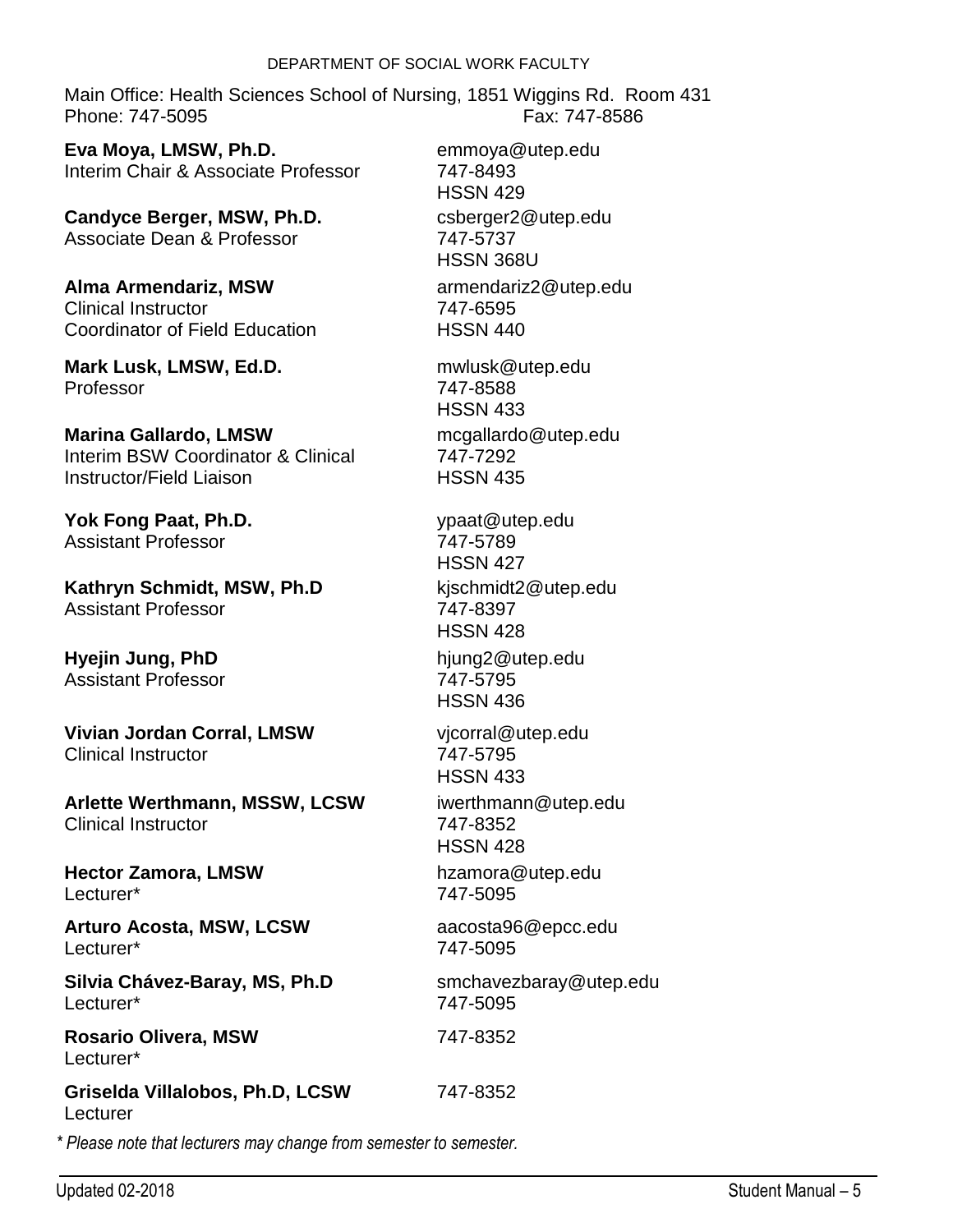#### DEPARTMENT OF SOCIAL WORK FACULTY

Main Office: Health Sciences School of Nursing, 1851 Wiggins Rd. Room 431 Phone: 747-5095 Fax: 747-8586

**Eva Moya, LMSW, Ph.D.** Interim Chair & Associate Professor

**Candyce Berger, MSW, Ph.D.** Associate Dean & Professor

**Alma Armendariz, MSW** Clinical Instructor Coordinator of Field Education

**Mark Lusk, LMSW, Ed.D.** Professor

**Marina Gallardo, LMSW** Interim BSW Coordinator & Clinical Instructor/Field Liaison

**Yok Fong Paat, Ph.D.** Assistant Professor

**Kathryn Schmidt, MSW, Ph.D** Assistant Professor

**Hyejin Jung, PhD** Assistant Professor

**Vivian Jordan Corral, LMSW** Clinical Instructor

**Arlette Werthmann, MSSW, LCSW** Clinical Instructor

**Hector Zamora, LMSW** Lecturer\*

**Arturo Acosta, MSW, LCSW** Lecturer\*

**Silvia Chávez-Baray, MS, Ph.D** Lecturer\*

**Rosario Olivera, MSW** Lecturer\*

**Griselda Villalobos, Ph.D, LCSW** Lecturer

*\* Please note that lecturers may change from semester to semester.*

csberger2@utep.edu 747-5737 HSSN 368U armendariz2@utep.edu 747-6595 HSSN 440 mwlusk@utep.edu 747-8588 HSSN 433 mcgallardo@utep.edu 747-7292 HSSN 435 ypaat@utep.edu 747-5789

emmoya@utep.edu

747-8493 HSSN 429

HSSN 427 kjschmidt2@utep.edu 747-8397 HSSN 428

hjung2@utep.edu 747-5795 HSSN 436

vjcorral@utep.edu 747-5795 HSSN 433

iwerthmann@utep.edu 747-8352 HSSN 428

hzamora@utep.edu 747-5095

aacosta96@epcc.edu 747-5095

smchavezbaray@utep.edu 747-5095

747-8352

# 747-8352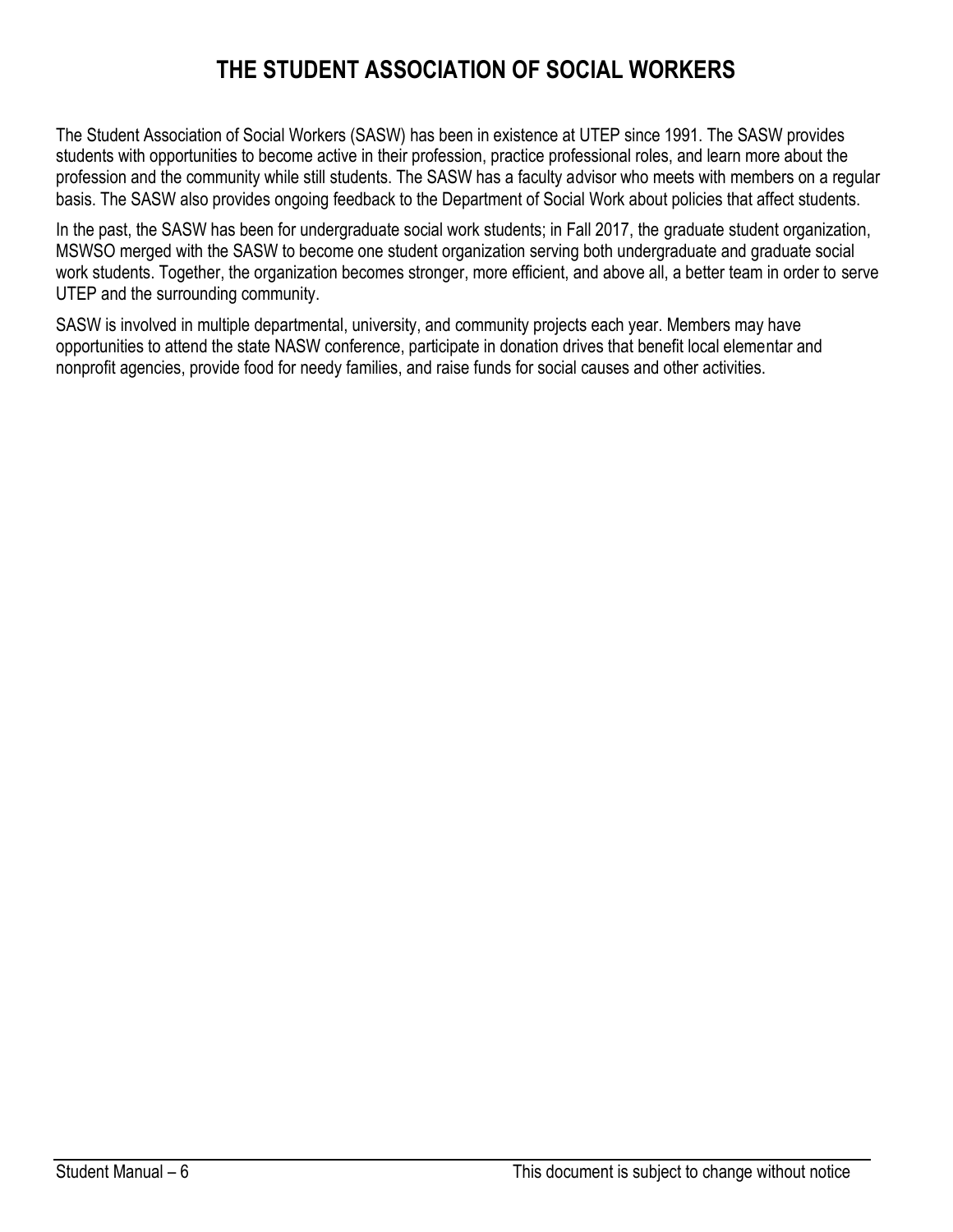# **THE STUDENT ASSOCIATION OF SOCIAL WORKERS**

The Student Association of Social Workers (SASW) has been in existence at UTEP since 1991. The SASW provides students with opportunities to become active in their profession, practice professional roles, and learn more about the profession and the community while still students. The SASW has a faculty advisor who meets with members on a regular basis. The SASW also provides ongoing feedback to the Department of Social Work about policies that affect students.

In the past, the SASW has been for undergraduate social work students; in Fall 2017, the graduate student organization, MSWSO merged with the SASW to become one student organization serving both undergraduate and graduate social work students. Together, the organization becomes stronger, more efficient, and above all, a better team in order to serve UTEP and the surrounding community.

SASW is involved in multiple departmental, university, and community projects each year. Members may have opportunities to attend the state NASW conference, participate in donation drives that benefit local elementar and nonprofit agencies, provide food for needy families, and raise funds for social causes and other activities.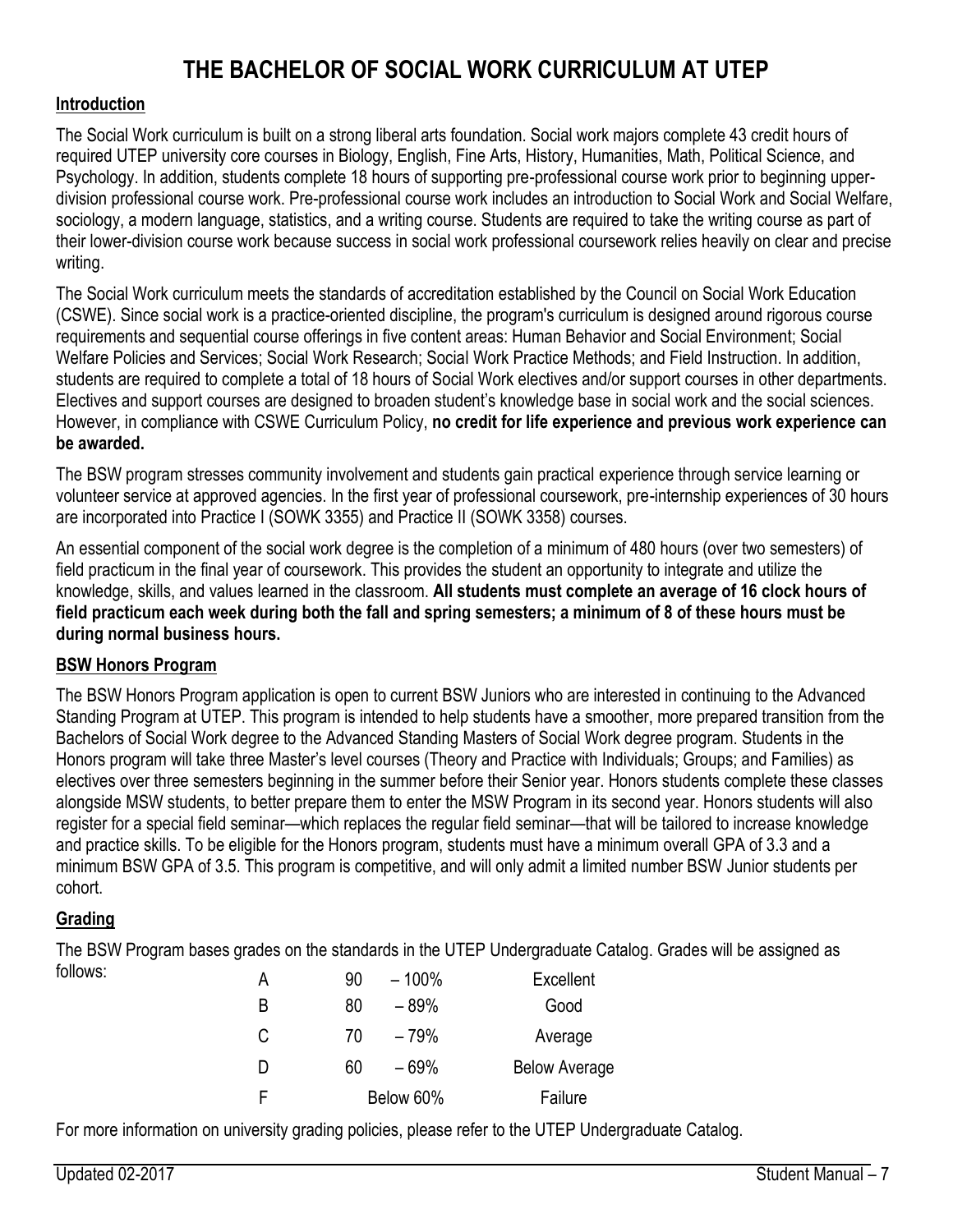# **THE BACHELOR OF SOCIAL WORK CURRICULUM AT UTEP**

### **Introduction**

The Social Work curriculum is built on a strong liberal arts foundation. Social work majors complete 43 credit hours of required UTEP university core courses in Biology, English, Fine Arts, History, Humanities, Math, Political Science, and Psychology. In addition, students complete 18 hours of supporting pre-professional course work prior to beginning upperdivision professional course work. Pre-professional course work includes an introduction to Social Work and Social Welfare, sociology, a modern language, statistics, and a writing course. Students are required to take the writing course as part of their lower-division course work because success in social work professional coursework relies heavily on clear and precise writing.

The Social Work curriculum meets the standards of accreditation established by the Council on Social Work Education (CSWE). Since social work is a practice-oriented discipline, the program's curriculum is designed around rigorous course requirements and sequential course offerings in five content areas: Human Behavior and Social Environment; Social Welfare Policies and Services; Social Work Research; Social Work Practice Methods; and Field Instruction. In addition, students are required to complete a total of 18 hours of Social Work electives and/or support courses in other departments. Electives and support courses are designed to broaden student's knowledge base in social work and the social sciences. However, in compliance with CSWE Curriculum Policy, **no credit for life experience and previous work experience can be awarded.**

The BSW program stresses community involvement and students gain practical experience through service learning or volunteer service at approved agencies. In the first year of professional coursework, pre-internship experiences of 30 hours are incorporated into Practice I (SOWK 3355) and Practice II (SOWK 3358) courses.

An essential component of the social work degree is the completion of a minimum of 480 hours (over two semesters) of field practicum in the final year of coursework. This provides the student an opportunity to integrate and utilize the knowledge, skills, and values learned in the classroom. **All students must complete an average of 16 clock hours of field practicum each week during both the fall and spring semesters; a minimum of 8 of these hours must be during normal business hours.**

### **BSW Honors Program**

The BSW Honors Program application is open to current BSW Juniors who are interested in continuing to the Advanced Standing Program at UTEP. This program is intended to help students have a smoother, more prepared transition from the Bachelors of Social Work degree to the Advanced Standing Masters of Social Work degree program. Students in the Honors program will take three Master's level courses (Theory and Practice with Individuals; Groups; and Families) as electives over three semesters beginning in the summer before their Senior year. Honors students complete these classes alongside MSW students, to better prepare them to enter the MSW Program in its second year. Honors students will also register for a special field seminar—which replaces the regular field seminar—that will be tailored to increase knowledge and practice skills. To be eligible for the Honors program, students must have a minimum overall GPA of 3.3 and a minimum BSW GPA of 3.5. This program is competitive, and will only admit a limited number BSW Junior students per cohort.

### **Grading**

The BSW Program bases grades on the standards in the UTEP Undergraduate Catalog. Grades will be assigned as follows:

| $-100%$<br>А<br>90 | Excellent            |
|--------------------|----------------------|
| B<br>80<br>$-89%$  | Good                 |
| С<br>$-79%$<br>70  | Average              |
| D<br>- 69%<br>60   | <b>Below Average</b> |
| Below 60%<br>F     | Failure              |

For more information on university grading policies, please refer to the UTEP Undergraduate Catalog.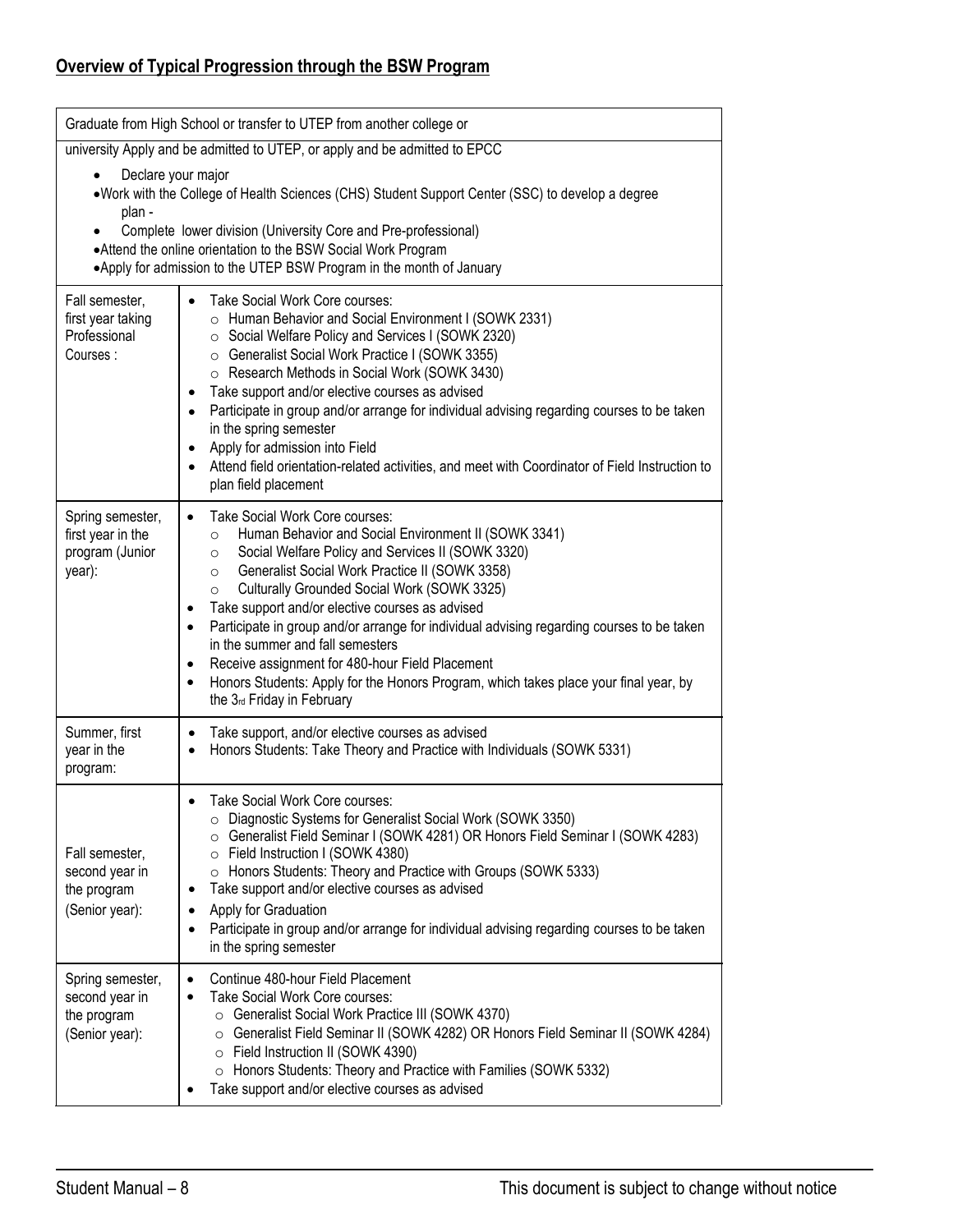# **Overview of Typical Progression through the BSW Program**

|                                                                     | Graduate from High School or transfer to UTEP from another college or                                                                                                                                                                                                                                                                                                                                                                                                                                                                                                                                                                                                                                                  |  |  |  |  |
|---------------------------------------------------------------------|------------------------------------------------------------------------------------------------------------------------------------------------------------------------------------------------------------------------------------------------------------------------------------------------------------------------------------------------------------------------------------------------------------------------------------------------------------------------------------------------------------------------------------------------------------------------------------------------------------------------------------------------------------------------------------------------------------------------|--|--|--|--|
|                                                                     | university Apply and be admitted to UTEP, or apply and be admitted to EPCC                                                                                                                                                                                                                                                                                                                                                                                                                                                                                                                                                                                                                                             |  |  |  |  |
| Declare your major<br>plan -                                        | •Work with the College of Health Sciences (CHS) Student Support Center (SSC) to develop a degree<br>Complete lower division (University Core and Pre-professional)<br>•Attend the online orientation to the BSW Social Work Program<br>•Apply for admission to the UTEP BSW Program in the month of January                                                                                                                                                                                                                                                                                                                                                                                                            |  |  |  |  |
| Fall semester,<br>first year taking<br>Professional<br>Courses:     | Take Social Work Core courses:<br>$\bullet$<br>o Human Behavior and Social Environment I (SOWK 2331)<br>○ Social Welfare Policy and Services I (SOWK 2320)<br>○ Generalist Social Work Practice I (SOWK 3355)<br>○ Research Methods in Social Work (SOWK 3430)<br>Take support and/or elective courses as advised<br>$\bullet$<br>Participate in group and/or arrange for individual advising regarding courses to be taken<br>$\bullet$<br>in the spring semester<br>Apply for admission into Field<br>$\bullet$<br>Attend field orientation-related activities, and meet with Coordinator of Field Instruction to<br>$\bullet$<br>plan field placement                                                               |  |  |  |  |
| Spring semester,<br>first year in the<br>program (Junior<br>year):  | Take Social Work Core courses:<br>$\bullet$<br>Human Behavior and Social Environment II (SOWK 3341)<br>$\circ$<br>Social Welfare Policy and Services II (SOWK 3320)<br>$\circ$<br>Generalist Social Work Practice II (SOWK 3358)<br>$\circ$<br>Culturally Grounded Social Work (SOWK 3325)<br>$\circ$<br>Take support and/or elective courses as advised<br>$\bullet$<br>Participate in group and/or arrange for individual advising regarding courses to be taken<br>$\bullet$<br>in the summer and fall semesters<br>Receive assignment for 480-hour Field Placement<br>$\bullet$<br>Honors Students: Apply for the Honors Program, which takes place your final year, by<br>$\bullet$<br>the 3rd Friday in February |  |  |  |  |
| Summer, first<br>year in the<br>program:                            | Take support, and/or elective courses as advised<br>$\bullet$<br>Honors Students: Take Theory and Practice with Individuals (SOWK 5331)                                                                                                                                                                                                                                                                                                                                                                                                                                                                                                                                                                                |  |  |  |  |
| Fall semester,<br>second year in<br>the program<br>(Senior year):   | Take Social Work Core courses:<br>O Diagnostic Systems for Generalist Social Work (SOWK 3350)<br>○ Generalist Field Seminar I (SOWK 4281) OR Honors Field Seminar I (SOWK 4283)<br>○ Field Instruction I (SOWK 4380)<br>○ Honors Students: Theory and Practice with Groups (SOWK 5333)<br>Take support and/or elective courses as advised<br>٠<br>Apply for Graduation<br>$\bullet$<br>Participate in group and/or arrange for individual advising regarding courses to be taken<br>in the spring semester                                                                                                                                                                                                             |  |  |  |  |
| Spring semester,<br>second year in<br>the program<br>(Senior year): | Continue 480-hour Field Placement<br>$\bullet$<br>Take Social Work Core courses:<br>$\bullet$<br>Generalist Social Work Practice III (SOWK 4370)<br>$\circ$<br>Generalist Field Seminar II (SOWK 4282) OR Honors Field Seminar II (SOWK 4284)<br>$\circ$<br>○ Field Instruction II (SOWK 4390)<br>○ Honors Students: Theory and Practice with Families (SOWK 5332)<br>Take support and/or elective courses as advised                                                                                                                                                                                                                                                                                                  |  |  |  |  |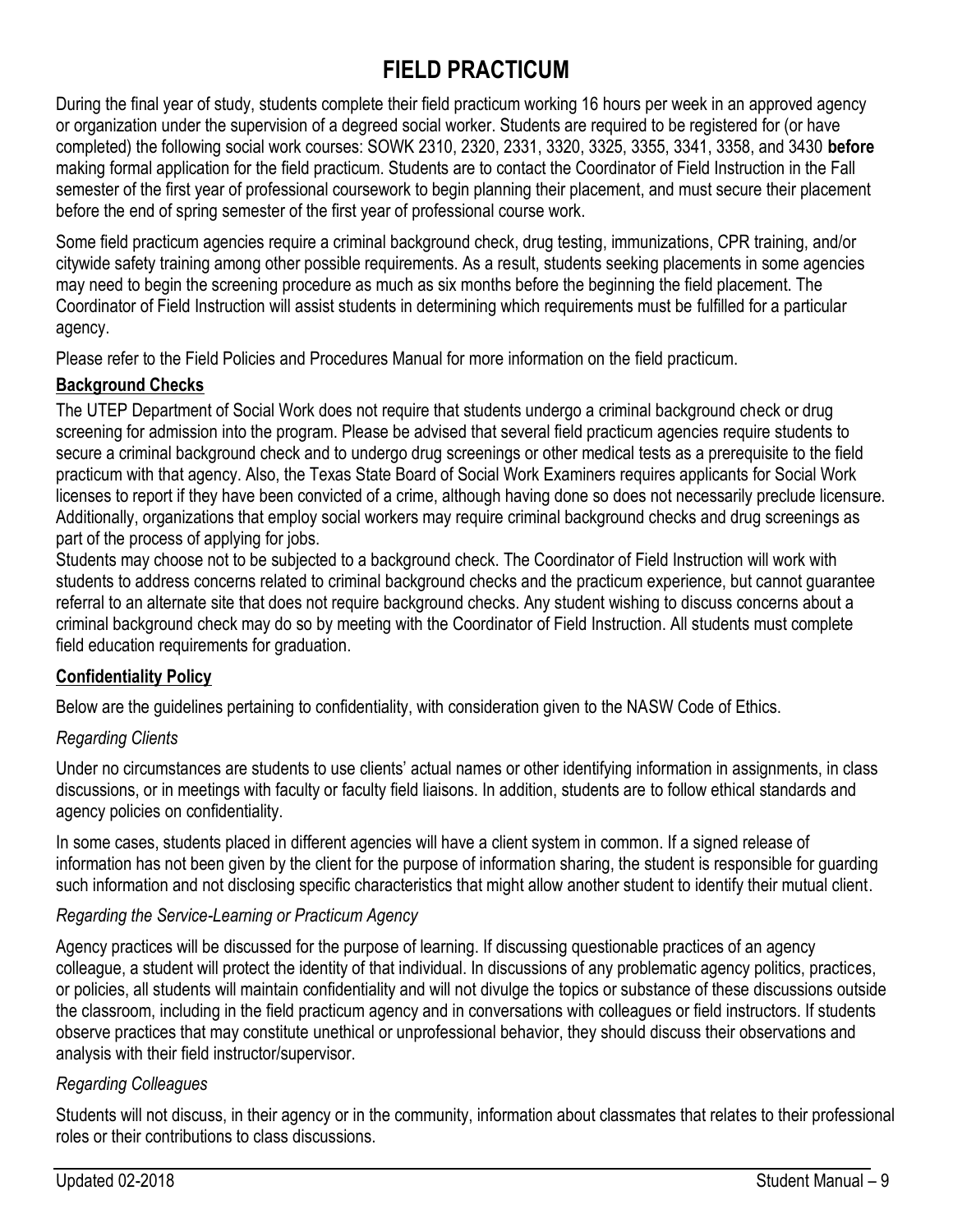# **FIELD PRACTICUM**

During the final year of study, students complete their field practicum working 16 hours per week in an approved agency or organization under the supervision of a degreed social worker. Students are required to be registered for (or have completed) the following social work courses: SOWK 2310, 2320, 2331, 3320, 3325, 3355, 3341, 3358, and 3430 **before** making formal application for the field practicum. Students are to contact the Coordinator of Field Instruction in the Fall semester of the first year of professional coursework to begin planning their placement, and must secure their placement before the end of spring semester of the first year of professional course work.

Some field practicum agencies require a criminal background check, drug testing, immunizations, CPR training, and/or citywide safety training among other possible requirements. As a result, students seeking placements in some agencies may need to begin the screening procedure as much as six months before the beginning the field placement. The Coordinator of Field Instruction will assist students in determining which requirements must be fulfilled for a particular agency.

Please refer to the Field Policies and Procedures Manual for more information on the field practicum.

### **Background Checks**

The UTEP Department of Social Work does not require that students undergo a criminal background check or drug screening for admission into the program. Please be advised that several field practicum agencies require students to secure a criminal background check and to undergo drug screenings or other medical tests as a prerequisite to the field practicum with that agency. Also, the Texas State Board of Social Work Examiners requires applicants for Social Work licenses to report if they have been convicted of a crime, although having done so does not necessarily preclude licensure. Additionally, organizations that employ social workers may require criminal background checks and drug screenings as part of the process of applying for jobs.

Students may choose not to be subjected to a background check. The Coordinator of Field Instruction will work with students to address concerns related to criminal background checks and the practicum experience, but cannot guarantee referral to an alternate site that does not require background checks. Any student wishing to discuss concerns about a criminal background check may do so by meeting with the Coordinator of Field Instruction. All students must complete field education requirements for graduation.

# **Confidentiality Policy**

Below are the guidelines pertaining to confidentiality, with consideration given to the NASW Code of Ethics.

### *Regarding Clients*

Under no circumstances are students to use clients' actual names or other identifying information in assignments, in class discussions, or in meetings with faculty or faculty field liaisons. In addition, students are to follow ethical standards and agency policies on confidentiality.

In some cases, students placed in different agencies will have a client system in common. If a signed release of information has not been given by the client for the purpose of information sharing, the student is responsible for guarding such information and not disclosing specific characteristics that might allow another student to identify their mutual client.

# *Regarding the Service-Learning or Practicum Agency*

Agency practices will be discussed for the purpose of learning. If discussing questionable practices of an agency colleague, a student will protect the identity of that individual. In discussions of any problematic agency politics, practices, or policies, all students will maintain confidentiality and will not divulge the topics or substance of these discussions outside the classroom, including in the field practicum agency and in conversations with colleagues or field instructors. If students observe practices that may constitute unethical or unprofessional behavior, they should discuss their observations and analysis with their field instructor/supervisor.

# *Regarding Colleagues*

Students will not discuss, in their agency or in the community, information about classmates that relates to their professional roles or their contributions to class discussions.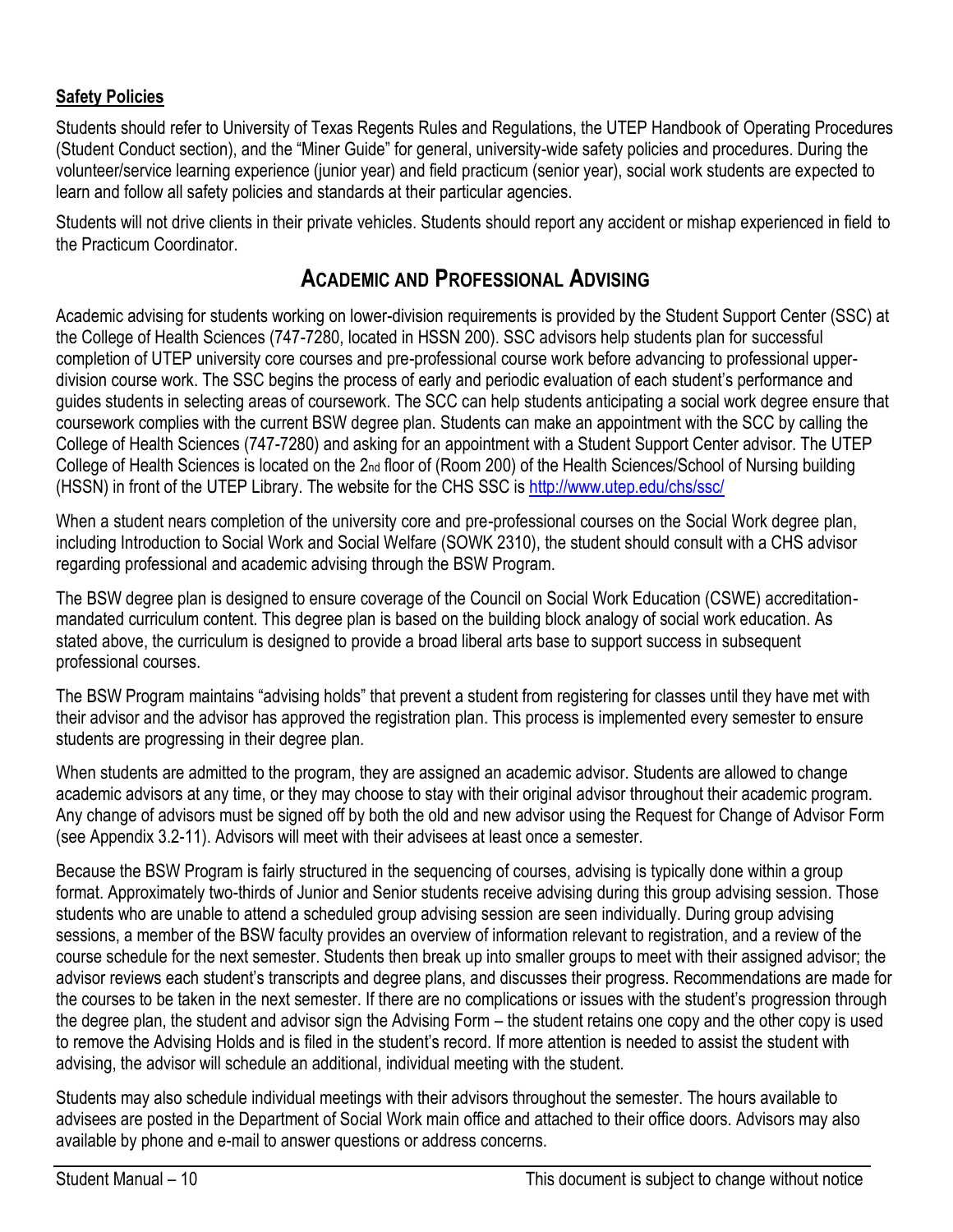### **Safety Policies**

Students should refer to University of Texas Regents Rules and Regulations, the UTEP Handbook of Operating Procedures (Student Conduct section), and the "Miner Guide" for general, university-wide safety policies and procedures. During the volunteer/service learning experience (junior year) and field practicum (senior year), social work students are expected to learn and follow all safety policies and standards at their particular agencies.

Students will not drive clients in their private vehicles. Students should report any accident or mishap experienced in field to the Practicum Coordinator.

# **ACADEMIC AND PROFESSIONAL ADVISING**

Academic advising for students working on lower-division requirements is provided by the Student Support Center (SSC) at the College of Health Sciences (747-7280, located in HSSN 200). SSC advisors help students plan for successful completion of UTEP university core courses and pre-professional course work before advancing to professional upperdivision course work. The SSC begins the process of early and periodic evaluation of each student's performance and guides students in selecting areas of coursework. The SCC can help students anticipating a social work degree ensure that coursework complies with the current BSW degree plan. Students can make an appointment with the SCC by calling the College of Health Sciences (747-7280) and asking for an appointment with a Student Support Center advisor. The UTEP College of Health Sciences is located on the 2nd floor of (Room 200) of the Health Sciences/School of Nursing building (HSSN) in front of the UTEP Library. The website for the CHS SSC is [http://www.utep.edu/chs/ssc/](http://academics.utep.edu/chs)

When a student nears completion of the university core and pre-professional courses on the Social Work degree plan, including Introduction to Social Work and Social Welfare (SOWK 2310), the student should consult with a CHS advisor regarding professional and academic advising through the BSW Program.

The BSW degree plan is designed to ensure coverage of the Council on Social Work Education (CSWE) accreditationmandated curriculum content. This degree plan is based on the building block analogy of social work education. As stated above, the curriculum is designed to provide a broad liberal arts base to support success in subsequent professional courses.

The BSW Program maintains "advising holds" that prevent a student from registering for classes until they have met with their advisor and the advisor has approved the registration plan. This process is implemented every semester to ensure students are progressing in their degree plan.

When students are admitted to the program, they are assigned an academic advisor. Students are allowed to change academic advisors at any time, or they may choose to stay with their original advisor throughout their academic program. Any change of advisors must be signed off by both the old and new advisor using the Request for Change of Advisor Form (see Appendix 3.2-11). Advisors will meet with their advisees at least once a semester.

Because the BSW Program is fairly structured in the sequencing of courses, advising is typically done within a group format. Approximately two-thirds of Junior and Senior students receive advising during this group advising session. Those students who are unable to attend a scheduled group advising session are seen individually. During group advising sessions, a member of the BSW faculty provides an overview of information relevant to registration, and a review of the course schedule for the next semester. Students then break up into smaller groups to meet with their assigned advisor; the advisor reviews each student's transcripts and degree plans, and discusses their progress. Recommendations are made for the courses to be taken in the next semester. If there are no complications or issues with the student's progression through the degree plan, the student and advisor sign the Advising Form – the student retains one copy and the other copy is used to remove the Advising Holds and is filed in the student's record. If more attention is needed to assist the student with advising, the advisor will schedule an additional, individual meeting with the student.

Students may also schedule individual meetings with their advisors throughout the semester. The hours available to advisees are posted in the Department of Social Work main office and attached to their office doors. Advisors may also available by phone and e-mail to answer questions or address concerns.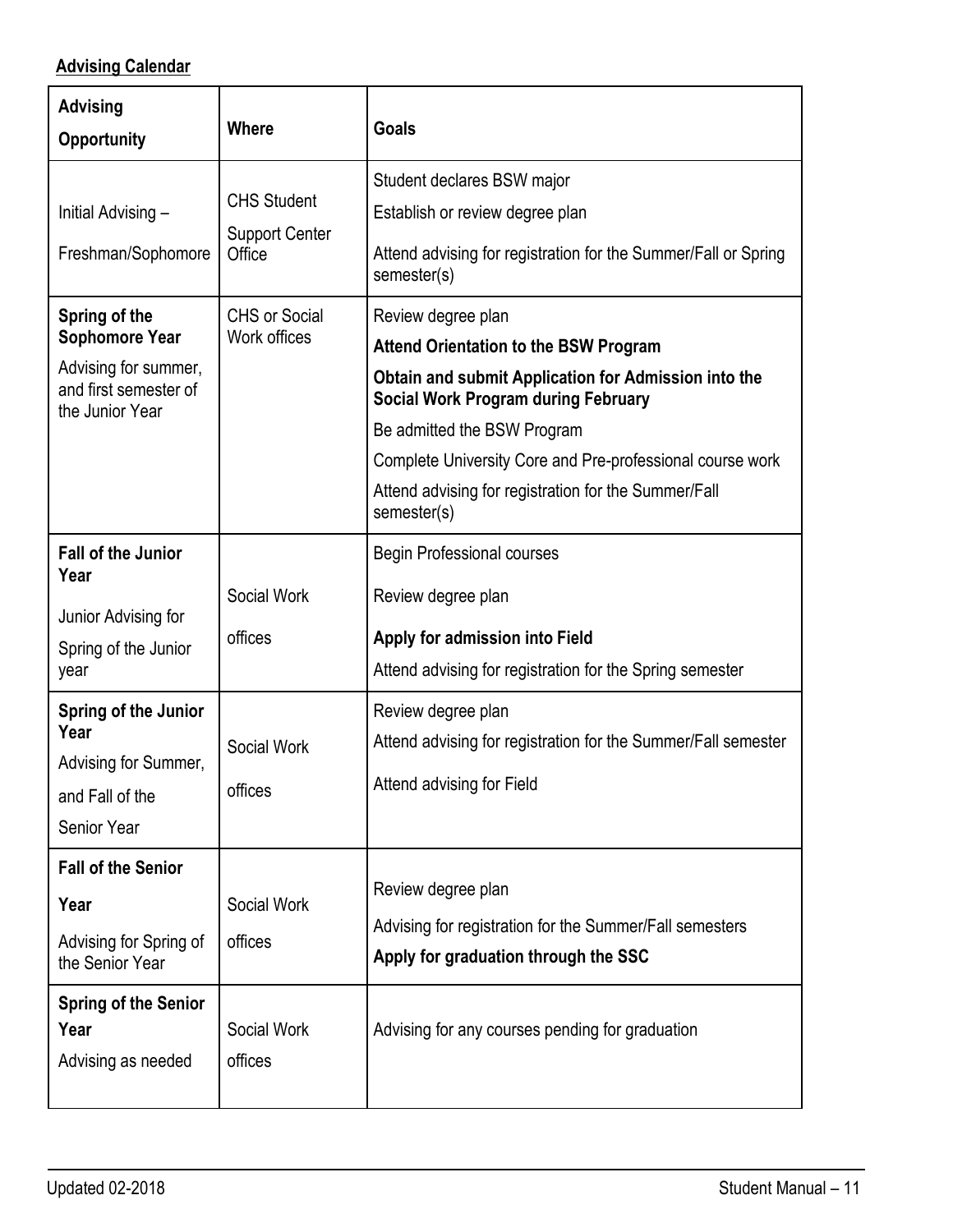# **Advising Calendar**

| <b>Advising</b><br><b>Opportunity</b>                                                                                                                  | <b>Where</b>                                                                                  | <b>Goals</b>                                                                                                                                                                                                                                                                                                                                                                                                                                                                                  |
|--------------------------------------------------------------------------------------------------------------------------------------------------------|-----------------------------------------------------------------------------------------------|-----------------------------------------------------------------------------------------------------------------------------------------------------------------------------------------------------------------------------------------------------------------------------------------------------------------------------------------------------------------------------------------------------------------------------------------------------------------------------------------------|
| Initial Advising -<br>Freshman/Sophomore<br>Spring of the<br><b>Sophomore Year</b><br>Advising for summer,<br>and first semester of<br>the Junior Year | <b>CHS Student</b><br><b>Support Center</b><br>Office<br><b>CHS or Social</b><br>Work offices | Student declares BSW major<br>Establish or review degree plan<br>Attend advising for registration for the Summer/Fall or Spring<br>semester(s)<br>Review degree plan<br><b>Attend Orientation to the BSW Program</b><br>Obtain and submit Application for Admission into the<br><b>Social Work Program during February</b><br>Be admitted the BSW Program<br>Complete University Core and Pre-professional course work<br>Attend advising for registration for the Summer/Fall<br>semester(s) |
| <b>Fall of the Junior</b><br>Year<br>Junior Advising for<br>Spring of the Junior<br>year                                                               | Social Work<br>offices                                                                        | <b>Begin Professional courses</b><br>Review degree plan<br>Apply for admission into Field<br>Attend advising for registration for the Spring semester                                                                                                                                                                                                                                                                                                                                         |
| Spring of the Junior<br>Year<br>Advising for Summer,<br>and Fall of the<br><b>Senior Year</b>                                                          | Social Work<br>offices                                                                        | Review degree plan<br>Attend advising for registration for the Summer/Fall semester<br>Attend advising for Field                                                                                                                                                                                                                                                                                                                                                                              |
| <b>Fall of the Senior</b><br>Year<br>Advising for Spring of<br>the Senior Year<br><b>Spring of the Senior</b><br>Year<br>Advising as needed            | Social Work<br>offices<br>Social Work<br>offices                                              | Review degree plan<br>Advising for registration for the Summer/Fall semesters<br>Apply for graduation through the SSC<br>Advising for any courses pending for graduation                                                                                                                                                                                                                                                                                                                      |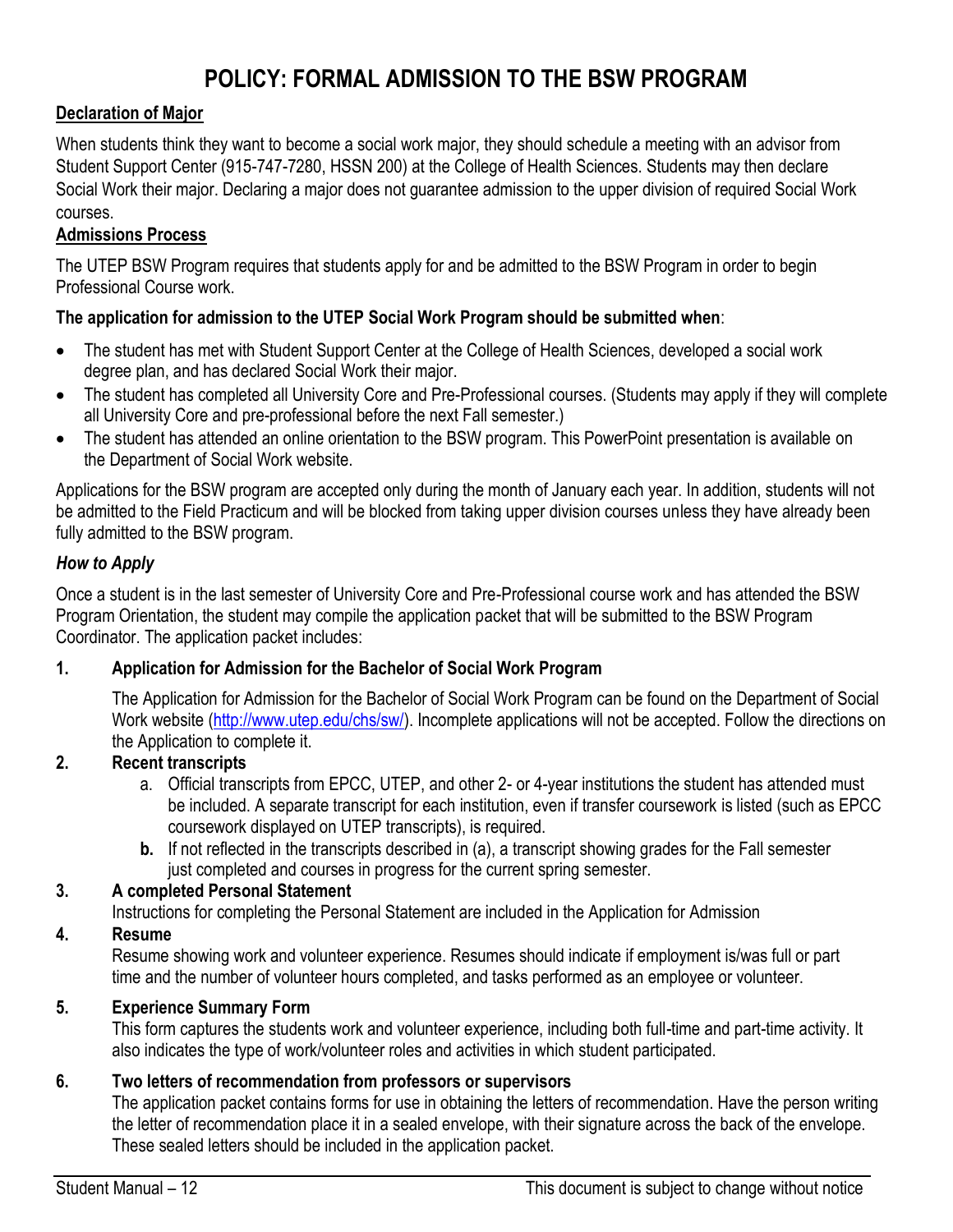# **POLICY: FORMAL ADMISSION TO THE BSW PROGRAM**

### **Declaration of Major**

When students think they want to become a social work major, they should schedule a meeting with an advisor from Student Support Center (915-747-7280, HSSN 200) at the College of Health Sciences. Students may then declare Social Work their major. Declaring a major does not guarantee admission to the upper division of required Social Work courses.

### **Admissions Process**

The UTEP BSW Program requires that students apply for and be admitted to the BSW Program in order to begin Professional Course work.

### **The application for admission to the UTEP Social Work Program should be submitted when**:

- The student has met with Student Support Center at the College of Health Sciences, developed a social work degree plan, and has declared Social Work their major.
- The student has completed all University Core and Pre-Professional courses. (Students may apply if they will complete all University Core and pre-professional before the next Fall semester.)
- The student has attended an online orientation to the BSW program. This PowerPoint presentation is available on the Department of Social Work website.

Applications for the BSW program are accepted only during the month of January each year. In addition, students will not be admitted to the Field Practicum and will be blocked from taking upper division courses unless they have already been fully admitted to the BSW program.

### *How to Apply*

Once a student is in the last semester of University Core and Pre-Professional course work and has attended the BSW Program Orientation, the student may compile the application packet that will be submitted to the BSW Program Coordinator. The application packet includes:

### **1. Application for Admission for the Bachelor of Social Work Program**

The Application for Admission for the Bachelor of Social Work Program can be found on the Department of Social Work website [\(http://www.utep.edu/chs/sw/\).](http://www.utep.edu/chs/sw/) Incomplete applications will not be accepted. Follow the directions on the Application to complete it.

### **2. Recent transcripts**

- a. Official transcripts from EPCC, UTEP, and other 2- or 4-year institutions the student has attended must be included. A separate transcript for each institution, even if transfer coursework is listed (such as EPCC coursework displayed on UTEP transcripts), is required.
- **b.** If not reflected in the transcripts described in (a), a transcript showing grades for the Fall semester just completed and courses in progress for the current spring semester.

### **3. A completed Personal Statement**

Instructions for completing the Personal Statement are included in the Application for Admission

### **4. Resume**

Resume showing work and volunteer experience. Resumes should indicate if employment is/was full or part time and the number of volunteer hours completed, and tasks performed as an employee or volunteer.

### **5. Experience Summary Form**

This form captures the students work and volunteer experience, including both full-time and part-time activity. It also indicates the type of work/volunteer roles and activities in which student participated.

### **6. Two letters of recommendation from professors or supervisors**

The application packet contains forms for use in obtaining the letters of recommendation. Have the person writing the letter of recommendation place it in a sealed envelope, with their signature across the back of the envelope. These sealed letters should be included in the application packet.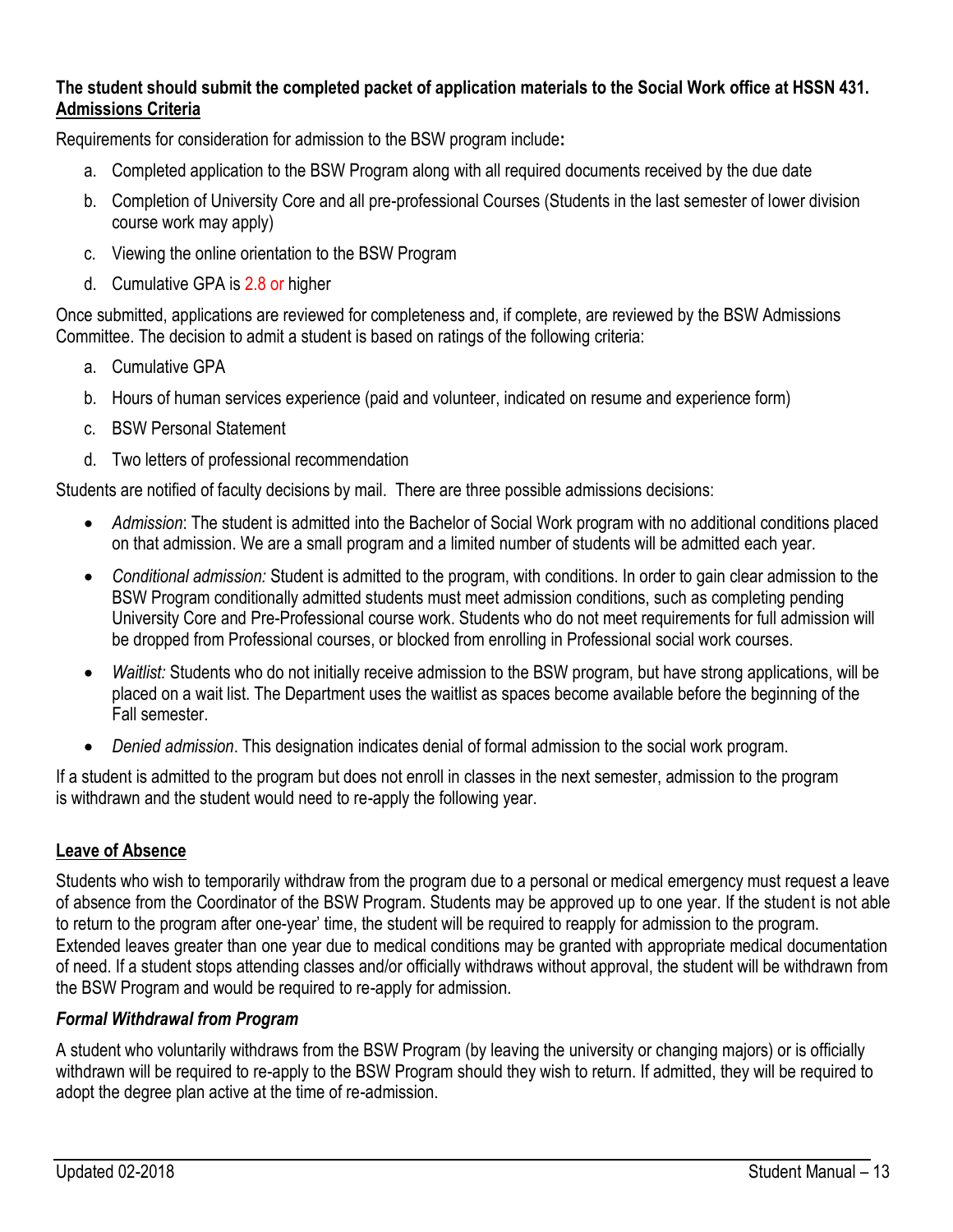### **The student should submit the completed packet of application materials to the Social Work office at HSSN 431. Admissions Criteria**

Requirements for consideration for admission to the BSW program include**:**

- a. Completed application to the BSW Program along with all required documents received by the due date
- b. Completion of University Core and all pre-professional Courses (Students in the last semester of lower division course work may apply)
- c. Viewing the online orientation to the BSW Program
- d. Cumulative GPA is 2.8 or higher

Once submitted, applications are reviewed for completeness and, if complete, are reviewed by the BSW Admissions Committee. The decision to admit a student is based on ratings of the following criteria:

- a. Cumulative GPA
- b. Hours of human services experience (paid and volunteer, indicated on resume and experience form)
- c. BSW Personal Statement
- d. Two letters of professional recommendation

Students are notified of faculty decisions by mail. There are three possible admissions decisions:

- *Admission*: The student is admitted into the Bachelor of Social Work program with no additional conditions placed on that admission. We are a small program and a limited number of students will be admitted each year.
- *Conditional admission:* Student is admitted to the program, with conditions. In order to gain clear admission to the BSW Program conditionally admitted students must meet admission conditions, such as completing pending University Core and Pre-Professional course work. Students who do not meet requirements for full admission will be dropped from Professional courses, or blocked from enrolling in Professional social work courses.
- *Waitlist:* Students who do not initially receive admission to the BSW program, but have strong applications, will be placed on a wait list. The Department uses the waitlist as spaces become available before the beginning of the Fall semester.
- *Denied admission*. This designation indicates denial of formal admission to the social work program.

If a student is admitted to the program but does not enroll in classes in the next semester, admission to the program is withdrawn and the student would need to re-apply the following year.

### **Leave of Absence**

Students who wish to temporarily withdraw from the program due to a personal or medical emergency must request a leave of absence from the Coordinator of the BSW Program. Students may be approved up to one year. If the student is not able to return to the program after one-year' time, the student will be required to reapply for admission to the program. Extended leaves greater than one year due to medical conditions may be granted with appropriate medical documentation of need. If a student stops attending classes and/or officially withdraws without approval, the student will be withdrawn from the BSW Program and would be required to re-apply for admission.

### *Formal Withdrawal from Program*

A student who voluntarily withdraws from the BSW Program (by leaving the university or changing majors) or is officially withdrawn will be required to re-apply to the BSW Program should they wish to return. If admitted, they will be required to adopt the degree plan active at the time of re-admission.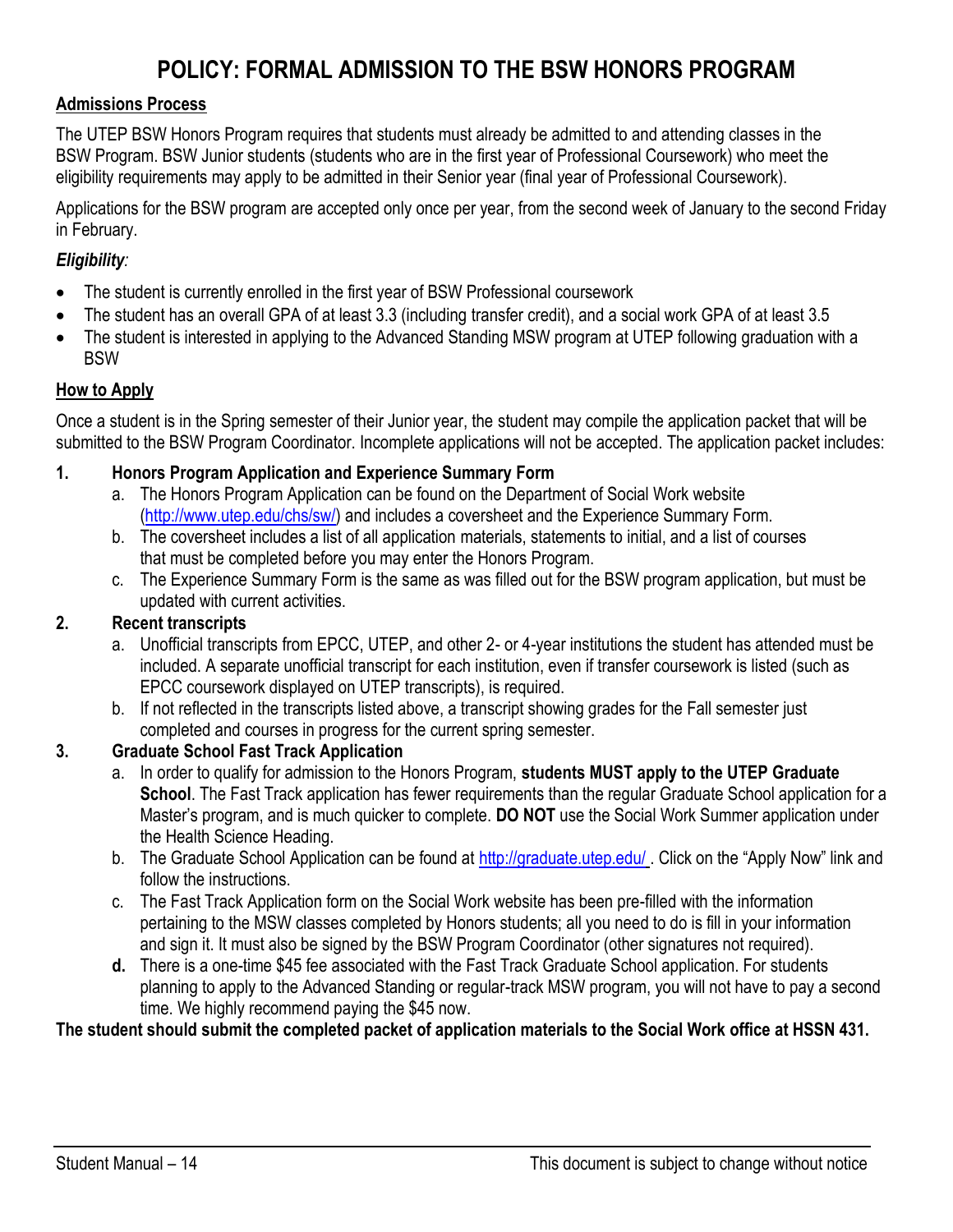# **POLICY: FORMAL ADMISSION TO THE BSW HONORS PROGRAM**

#### **Admissions Process**

The UTEP BSW Honors Program requires that students must already be admitted to and attending classes in the BSW Program. BSW Junior students (students who are in the first year of Professional Coursework) who meet the eligibility requirements may apply to be admitted in their Senior year (final year of Professional Coursework).

Applications for the BSW program are accepted only once per year, from the second week of January to the second Friday in February.

### *Eligibility:*

- The student is currently enrolled in the first year of BSW Professional coursework
- The student has an overall GPA of at least 3.3 (including transfer credit), and a social work GPA of at least 3.5
- The student is interested in applying to the Advanced Standing MSW program at UTEP following graduation with a **BSW**

### **How to Apply**

Once a student is in the Spring semester of their Junior year, the student may compile the application packet that will be submitted to the BSW Program Coordinator. Incomplete applications will not be accepted. The application packet includes:

- **1. Honors Program Application and Experience Summary Form**
	- a. The Honors Program Application can be found on the Department of Social Work website [\(http://www.utep.edu/chs/sw/\)](http://www.utep.edu/chs/sw/) and includes a coversheet and the Experience Summary Form.
	- b. The coversheet includes a list of all application materials, statements to initial, and a list of courses that must be completed before you may enter the Honors Program.
	- c. The Experience Summary Form is the same as was filled out for the BSW program application, but must be updated with current activities.

### **2. Recent transcripts**

- a. Unofficial transcripts from EPCC, UTEP, and other 2- or 4-year institutions the student has attended must be included. A separate unofficial transcript for each institution, even if transfer coursework is listed (such as EPCC coursework displayed on UTEP transcripts), is required.
- b. If not reflected in the transcripts listed above, a transcript showing grades for the Fall semester just completed and courses in progress for the current spring semester.

### **3. Graduate School Fast Track Application**

- a. In order to qualify for admission to the Honors Program, **students MUST apply to the UTEP Graduate School**. The Fast Track application has fewer requirements than the regular Graduate School application for a Master's program, and is much quicker to complete. **DO NOT** use the Social Work Summer application under the Health Science Heading.
- b. The Graduate School Application can be found at<http://graduate.utep.edu/>. Click on the "Apply Now" link and follow the instructions.
- c. The Fast Track Application form on the Social Work website has been pre-filled with the information pertaining to the MSW classes completed by Honors students; all you need to do is fill in your information and sign it. It must also be signed by the BSW Program Coordinator (other signatures not required).
- **d.** There is a one-time \$45 fee associated with the Fast Track Graduate School application. For students planning to apply to the Advanced Standing or regular-track MSW program, you will not have to pay a second time. We highly recommend paying the \$45 now.

### **The student should submit the completed packet of application materials to the Social Work office at HSSN 431.**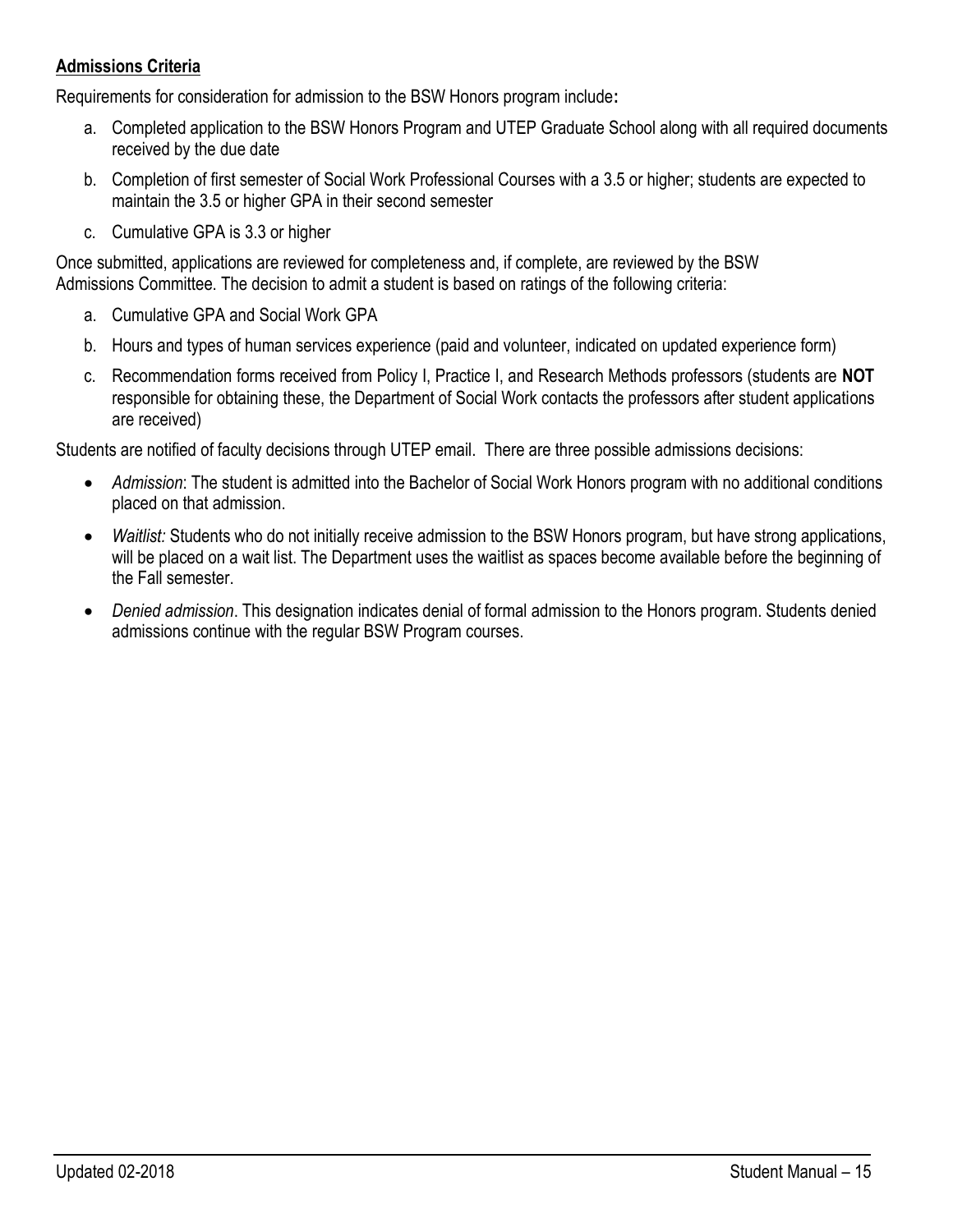### **Admissions Criteria**

Requirements for consideration for admission to the BSW Honors program include**:**

- a. Completed application to the BSW Honors Program and UTEP Graduate School along with all required documents received by the due date
- b. Completion of first semester of Social Work Professional Courses with a 3.5 or higher; students are expected to maintain the 3.5 or higher GPA in their second semester
- c. Cumulative GPA is 3.3 or higher

Once submitted, applications are reviewed for completeness and, if complete, are reviewed by the BSW Admissions Committee. The decision to admit a student is based on ratings of the following criteria:

- a. Cumulative GPA and Social Work GPA
- b. Hours and types of human services experience (paid and volunteer, indicated on updated experience form)
- c. Recommendation forms received from Policy I, Practice I, and Research Methods professors (students are **NOT** responsible for obtaining these, the Department of Social Work contacts the professors after student applications are received)

Students are notified of faculty decisions through UTEP email. There are three possible admissions decisions:

- *Admission*: The student is admitted into the Bachelor of Social Work Honors program with no additional conditions placed on that admission.
- *Waitlist:* Students who do not initially receive admission to the BSW Honors program, but have strong applications, will be placed on a wait list. The Department uses the waitlist as spaces become available before the beginning of the Fall semester.
- *Denied admission*. This designation indicates denial of formal admission to the Honors program. Students denied admissions continue with the regular BSW Program courses.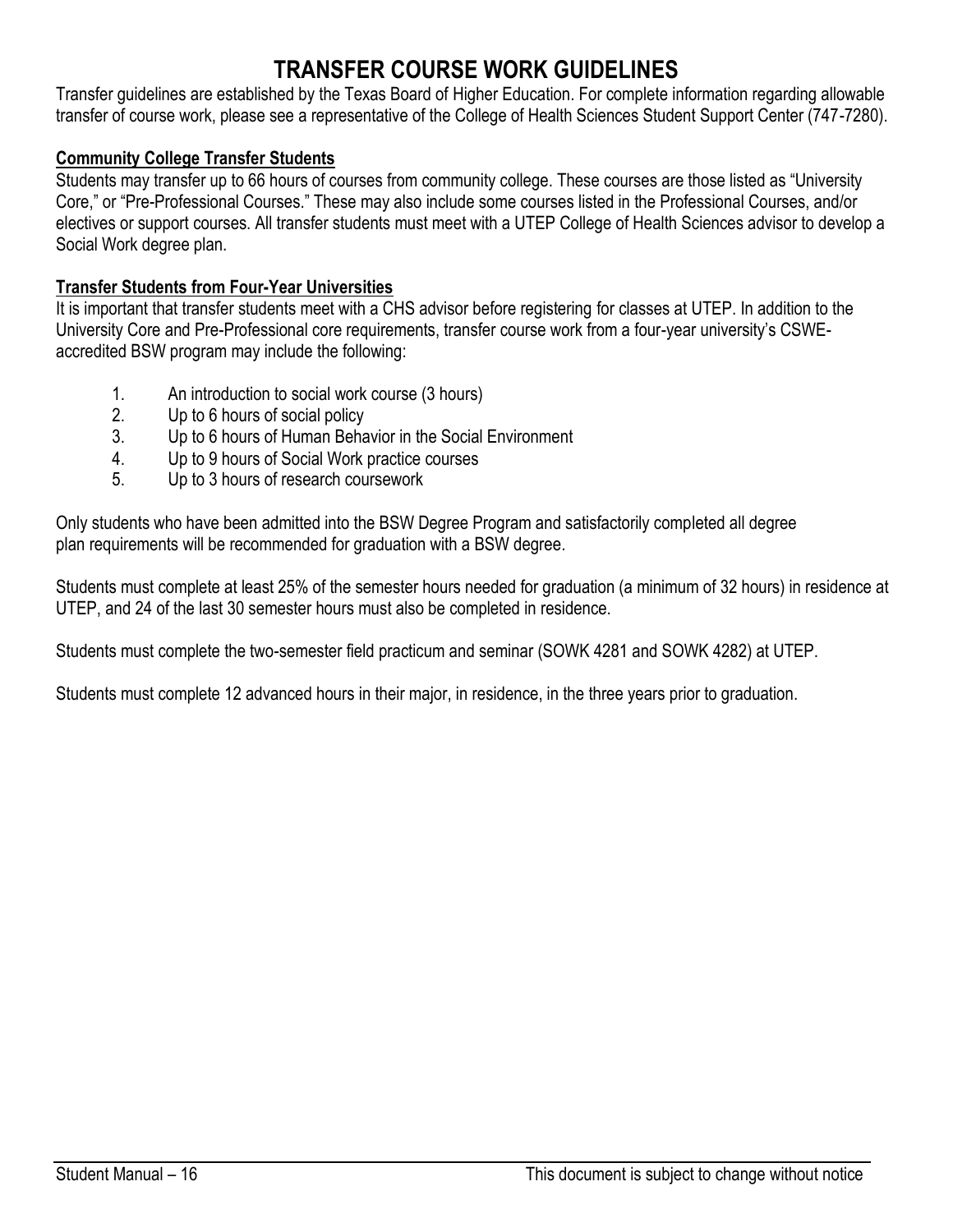# **TRANSFER COURSE WORK GUIDELINES**

Transfer guidelines are established by the Texas Board of Higher Education. For complete information regarding allowable transfer of course work, please see a representative of the College of Health Sciences Student Support Center (747-7280).

### **Community College Transfer Students**

Students may transfer up to 66 hours of courses from community college. These courses are those listed as "University Core," or "Pre-Professional Courses." These may also include some courses listed in the Professional Courses, and/or electives or support courses. All transfer students must meet with a UTEP College of Health Sciences advisor to develop a Social Work degree plan.

### **Transfer Students from Four-Year Universities**

It is important that transfer students meet with a CHS advisor before registering for classes at UTEP. In addition to the University Core and Pre-Professional core requirements, transfer course work from a four-year university's CSWEaccredited BSW program may include the following:

- 1. An introduction to social work course (3 hours)
- 2. Up to 6 hours of social policy
- 3. Up to 6 hours of Human Behavior in the Social Environment
- 4. Up to 9 hours of Social Work practice courses
- 5. Up to 3 hours of research coursework

Only students who have been admitted into the BSW Degree Program and satisfactorily completed all degree plan requirements will be recommended for graduation with a BSW degree.

Students must complete at least 25% of the semester hours needed for graduation (a minimum of 32 hours) in residence at UTEP, and 24 of the last 30 semester hours must also be completed in residence.

Students must complete the two-semester field practicum and seminar (SOWK 4281 and SOWK 4282) at UTEP.

Students must complete 12 advanced hours in their major, in residence, in the three years prior to graduation.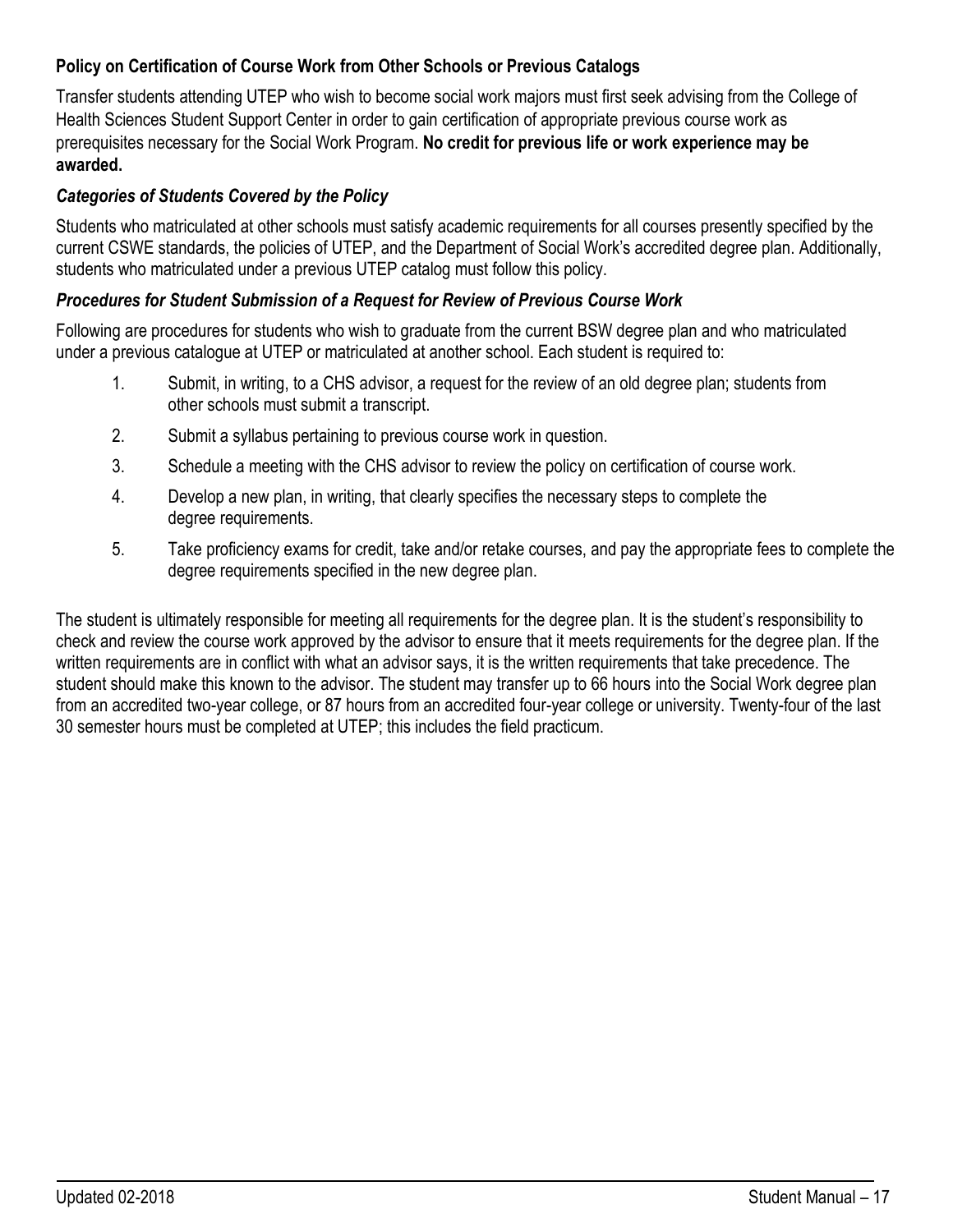### **Policy on Certification of Course Work from Other Schools or Previous Catalogs**

Transfer students attending UTEP who wish to become social work majors must first seek advising from the College of Health Sciences Student Support Center in order to gain certification of appropriate previous course work as prerequisites necessary for the Social Work Program. **No credit for previous life or work experience may be awarded.**

### *Categories of Students Covered by the Policy*

Students who matriculated at other schools must satisfy academic requirements for all courses presently specified by the current CSWE standards, the policies of UTEP, and the Department of Social Work's accredited degree plan. Additionally, students who matriculated under a previous UTEP catalog must follow this policy.

### *Procedures for Student Submission of a Request for Review of Previous Course Work*

Following are procedures for students who wish to graduate from the current BSW degree plan and who matriculated under a previous catalogue at UTEP or matriculated at another school. Each student is required to:

- 1. Submit, in writing, to a CHS advisor, a request for the review of an old degree plan; students from other schools must submit a transcript.
- 2. Submit a syllabus pertaining to previous course work in question.
- 3. Schedule a meeting with the CHS advisor to review the policy on certification of course work.
- 4. Develop a new plan, in writing, that clearly specifies the necessary steps to complete the degree requirements.
- 5. Take proficiency exams for credit, take and/or retake courses, and pay the appropriate fees to complete the degree requirements specified in the new degree plan.

The student is ultimately responsible for meeting all requirements for the degree plan. It is the student's responsibility to check and review the course work approved by the advisor to ensure that it meets requirements for the degree plan. If the written requirements are in conflict with what an advisor says, it is the written requirements that take precedence. The student should make this known to the advisor. The student may transfer up to 66 hours into the Social Work degree plan from an accredited two-year college, or 87 hours from an accredited four-year college or university. Twenty-four of the last 30 semester hours must be completed at UTEP; this includes the field practicum.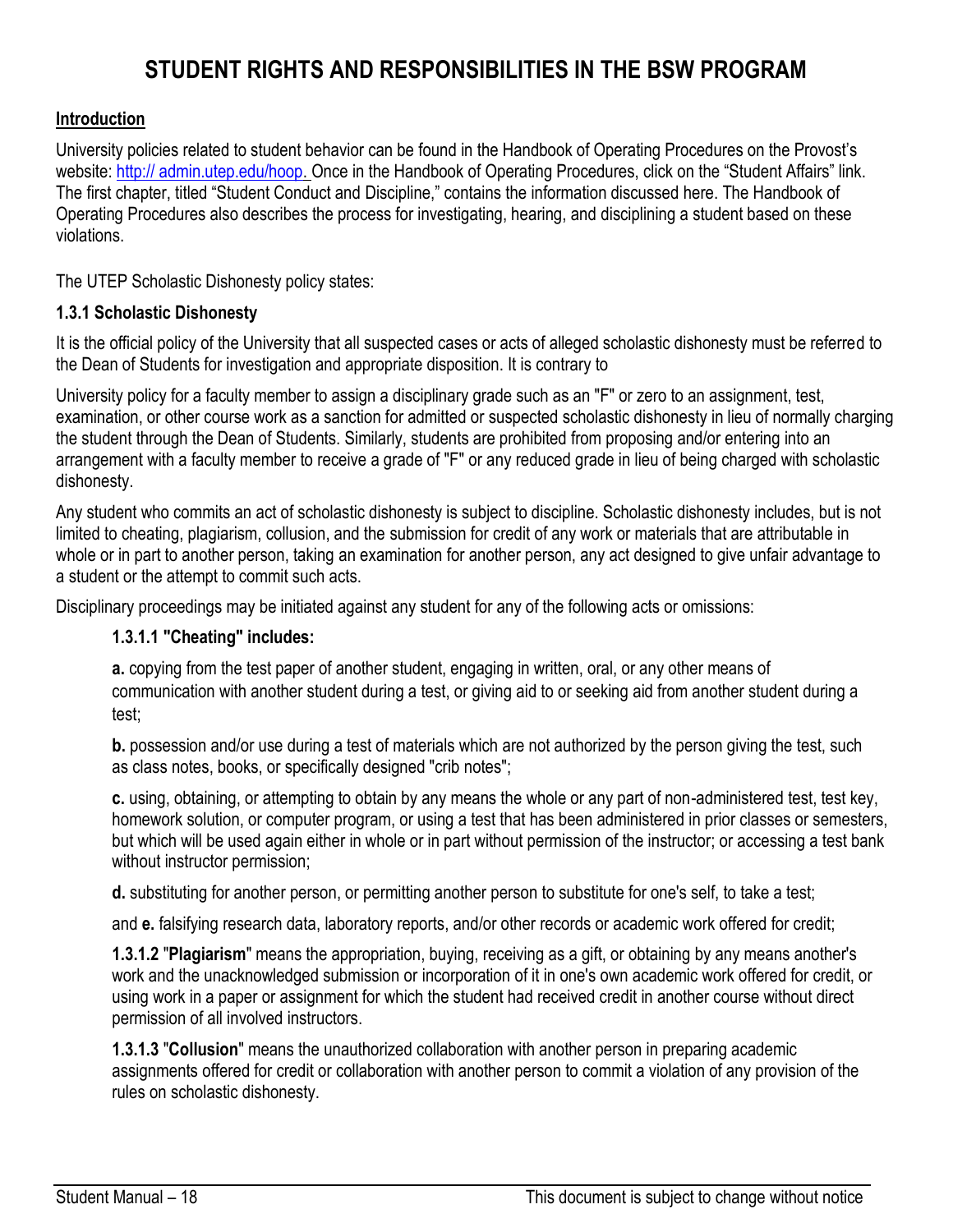# **STUDENT RIGHTS AND RESPONSIBILITIES IN THE BSW PROGRAM**

### **Introduction**

University policies related to student behavior can be found in the Handbook of Operating Procedures on the Provost's website: [http:// admin.utep.edu/hoop. O](http://admin.utep.edu/Default.aspx?alias=admin.utep.edu/hoop)nce in the Handbook of Operating Procedures, click on the "Student Affairs" link. The first chapter, titled "Student Conduct and Discipline," contains the information discussed here. The Handbook of Operating Procedures also describes the process for investigating, hearing, and disciplining a student based on these violations.

The UTEP Scholastic Dishonesty policy states:

### **1.3.1 Scholastic Dishonesty**

It is the official policy of the University that all suspected cases or acts of alleged scholastic dishonesty must be referred to the Dean of Students for investigation and appropriate disposition. It is contrary to

University policy for a faculty member to assign a disciplinary grade such as an "F" or zero to an assignment, test, examination, or other course work as a sanction for admitted or suspected scholastic dishonesty in lieu of normally charging the student through the Dean of Students. Similarly, students are prohibited from proposing and/or entering into an arrangement with a faculty member to receive a grade of "F" or any reduced grade in lieu of being charged with scholastic dishonesty.

Any student who commits an act of scholastic dishonesty is subject to discipline. Scholastic dishonesty includes, but is not limited to cheating, plagiarism, collusion, and the submission for credit of any work or materials that are attributable in whole or in part to another person, taking an examination for another person, any act designed to give unfair advantage to a student or the attempt to commit such acts.

Disciplinary proceedings may be initiated against any student for any of the following acts or omissions:

### **1.3.1.1 "Cheating" includes:**

**a.** copying from the test paper of another student, engaging in written, oral, or any other means of communication with another student during a test, or giving aid to or seeking aid from another student during a test;

**b.** possession and/or use during a test of materials which are not authorized by the person giving the test, such as class notes, books, or specifically designed "crib notes";

**c.** using, obtaining, or attempting to obtain by any means the whole or any part of non-administered test, test key, homework solution, or computer program, or using a test that has been administered in prior classes or semesters, but which will be used again either in whole or in part without permission of the instructor; or accessing a test bank without instructor permission;

**d.** substituting for another person, or permitting another person to substitute for one's self, to take a test;

and **e.** falsifying research data, laboratory reports, and/or other records or academic work offered for credit;

**1.3.1.2** "**Plagiarism**" means the appropriation, buying, receiving as a gift, or obtaining by any means another's work and the unacknowledged submission or incorporation of it in one's own academic work offered for credit, or using work in a paper or assignment for which the student had received credit in another course without direct permission of all involved instructors.

**1.3.1.3** "**Collusion**" means the unauthorized collaboration with another person in preparing academic assignments offered for credit or collaboration with another person to commit a violation of any provision of the rules on scholastic dishonesty.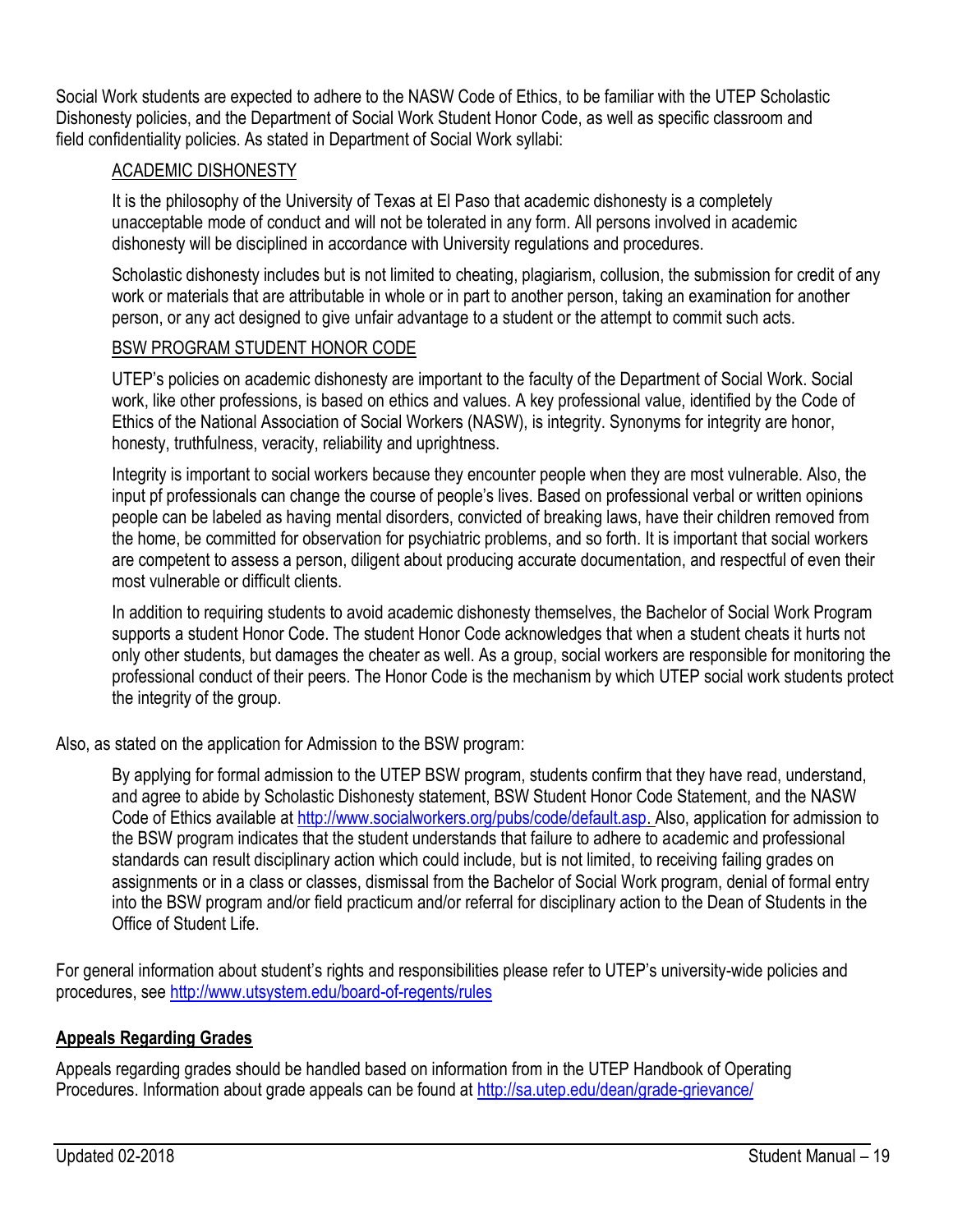Social Work students are expected to adhere to the NASW Code of Ethics, to be familiar with the UTEP Scholastic Dishonesty policies, and the Department of Social Work Student Honor Code, as well as specific classroom and field confidentiality policies. As stated in Department of Social Work syllabi:

### ACADEMIC DISHONESTY

It is the philosophy of the University of Texas at El Paso that academic dishonesty is a completely unacceptable mode of conduct and will not be tolerated in any form. All persons involved in academic dishonesty will be disciplined in accordance with University regulations and procedures.

Scholastic dishonesty includes but is not limited to cheating, plagiarism, collusion, the submission for credit of any work or materials that are attributable in whole or in part to another person, taking an examination for another person, or any act designed to give unfair advantage to a student or the attempt to commit such acts.

### BSW PROGRAM STUDENT HONOR CODE

UTEP's policies on academic dishonesty are important to the faculty of the Department of Social Work. Social work, like other professions, is based on ethics and values. A key professional value, identified by the Code of Ethics of the National Association of Social Workers (NASW), is integrity. Synonyms for integrity are honor, honesty, truthfulness, veracity, reliability and uprightness.

Integrity is important to social workers because they encounter people when they are most vulnerable. Also, the input pf professionals can change the course of people's lives. Based on professional verbal or written opinions people can be labeled as having mental disorders, convicted of breaking laws, have their children removed from the home, be committed for observation for psychiatric problems, and so forth. It is important that social workers are competent to assess a person, diligent about producing accurate documentation, and respectful of even their most vulnerable or difficult clients.

In addition to requiring students to avoid academic dishonesty themselves, the Bachelor of Social Work Program supports a student Honor Code. The student Honor Code acknowledges that when a student cheats it hurts not only other students, but damages the cheater as well. As a group, social workers are responsible for monitoring the professional conduct of their peers. The Honor Code is the mechanism by which UTEP social work students protect the integrity of the group.

Also, as stated on the application for Admission to the BSW program:

By applying for formal admission to the UTEP BSW program, students confirm that they have read, understand, and agree to abide by Scholastic Dishonesty statement, BSW Student Honor Code Statement, and the NASW Code of Ethics available at [http://www.socialworkers.org/pubs/code/default.asp. A](http://www.socialworkers.org/pubs/code/default.asp)lso, application for admission to the BSW program indicates that the student understands that failure to adhere to academic and professional standards can result disciplinary action which could include, but is not limited, to receiving failing grades on assignments or in a class or classes, dismissal from the Bachelor of Social Work program, denial of formal entry into the BSW program and/or field practicum and/or referral for disciplinary action to the Dean of Students in the Office of Student Life.

For general information about student's rights and responsibilities please refer to UTEP's university-wide policies and procedures, see<http://www.utsystem.edu/board-of-regents/rules>

### **Appeals Regarding Grades**

Appeals regarding grades should be handled based on information from in the UTEP Handbook of Operating Procedures. Information about grade appeals can be found at<http://sa.utep.edu/dean/grade-grievance/>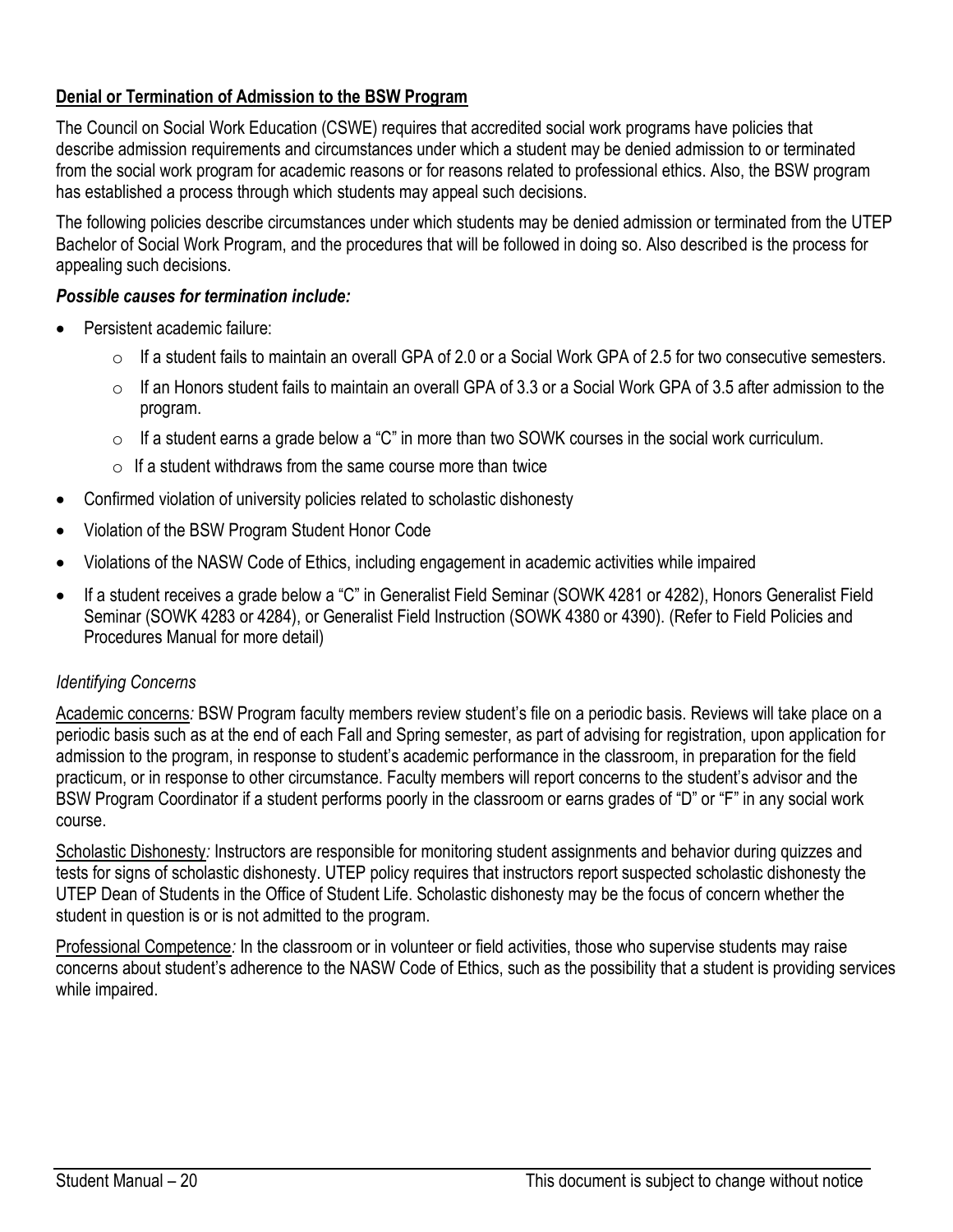### **Denial or Termination of Admission to the BSW Program**

The Council on Social Work Education (CSWE) requires that accredited social work programs have policies that describe admission requirements and circumstances under which a student may be denied admission to or terminated from the social work program for academic reasons or for reasons related to professional ethics. Also, the BSW program has established a process through which students may appeal such decisions.

The following policies describe circumstances under which students may be denied admission or terminated from the UTEP Bachelor of Social Work Program, and the procedures that will be followed in doing so. Also described is the process for appealing such decisions.

#### *Possible causes for termination include:*

- Persistent academic failure:
	- $\circ$  If a student fails to maintain an overall GPA of 2.0 or a Social Work GPA of 2.5 for two consecutive semesters.
	- $\circ$  If an Honors student fails to maintain an overall GPA of 3.3 or a Social Work GPA of 3.5 after admission to the program.
	- $\circ$  If a student earns a grade below a "C" in more than two SOWK courses in the social work curriculum.
	- $\circ$  If a student withdraws from the same course more than twice
- Confirmed violation of university policies related to scholastic dishonesty
- Violation of the BSW Program Student Honor Code
- Violations of the NASW Code of Ethics, including engagement in academic activities while impaired
- If a student receives a grade below a "C" in Generalist Field Seminar (SOWK 4281 or 4282), Honors Generalist Field Seminar (SOWK 4283 or 4284), or Generalist Field Instruction (SOWK 4380 or 4390). (Refer to Field Policies and Procedures Manual for more detail)

### *Identifying Concerns*

Academic concerns*:* BSW Program faculty members review student's file on a periodic basis. Reviews will take place on a periodic basis such as at the end of each Fall and Spring semester, as part of advising for registration, upon application for admission to the program, in response to student's academic performance in the classroom, in preparation for the field practicum, or in response to other circumstance. Faculty members will report concerns to the student's advisor and the BSW Program Coordinator if a student performs poorly in the classroom or earns grades of "D" or "F" in any social work course.

Scholastic Dishonesty*:* Instructors are responsible for monitoring student assignments and behavior during quizzes and tests for signs of scholastic dishonesty. UTEP policy requires that instructors report suspected scholastic dishonesty the UTEP Dean of Students in the Office of Student Life. Scholastic dishonesty may be the focus of concern whether the student in question is or is not admitted to the program.

Professional Competence*:* In the classroom or in volunteer or field activities, those who supervise students may raise concerns about student's adherence to the NASW Code of Ethics, such as the possibility that a student is providing services while impaired.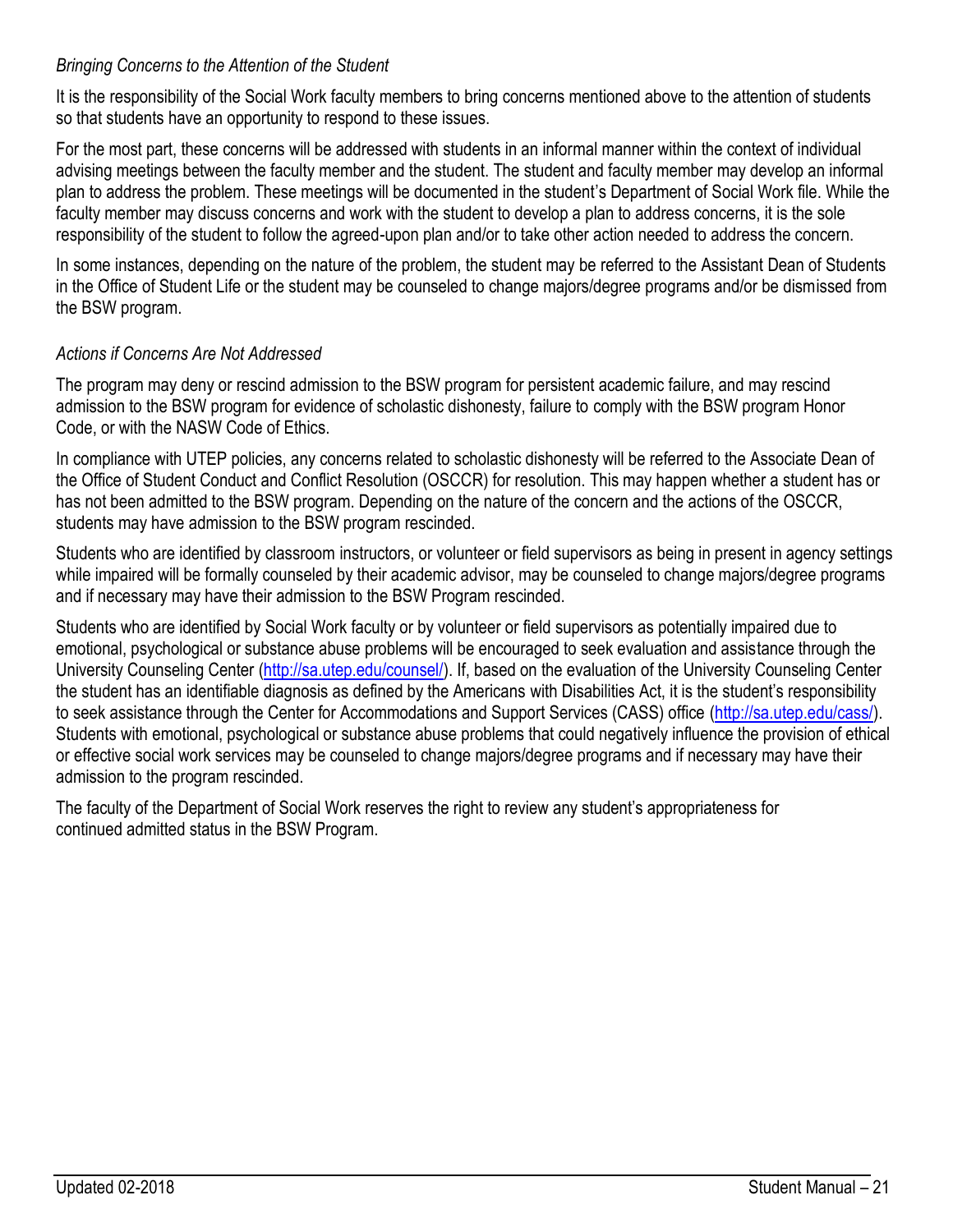### *Bringing Concerns to the Attention of the Student*

It is the responsibility of the Social Work faculty members to bring concerns mentioned above to the attention of students so that students have an opportunity to respond to these issues.

For the most part, these concerns will be addressed with students in an informal manner within the context of individual advising meetings between the faculty member and the student. The student and faculty member may develop an informal plan to address the problem. These meetings will be documented in the student's Department of Social Work file. While the faculty member may discuss concerns and work with the student to develop a plan to address concerns, it is the sole responsibility of the student to follow the agreed-upon plan and/or to take other action needed to address the concern.

In some instances, depending on the nature of the problem, the student may be referred to the Assistant Dean of Students in the Office of Student Life or the student may be counseled to change majors/degree programs and/or be dismissed from the BSW program.

### *Actions if Concerns Are Not Addressed*

The program may deny or rescind admission to the BSW program for persistent academic failure, and may rescind admission to the BSW program for evidence of scholastic dishonesty, failure to comply with the BSW program Honor Code, or with the NASW Code of Ethics.

In compliance with UTEP policies, any concerns related to scholastic dishonesty will be referred to the Associate Dean of the Office of Student Conduct and Conflict Resolution (OSCCR) for resolution. This may happen whether a student has or has not been admitted to the BSW program. Depending on the nature of the concern and the actions of the OSCCR, students may have admission to the BSW program rescinded.

Students who are identified by classroom instructors, or volunteer or field supervisors as being in present in agency settings while impaired will be formally counseled by their academic advisor, may be counseled to change majors/degree programs and if necessary may have their admission to the BSW Program rescinded.

Students who are identified by Social Work faculty or by volunteer or field supervisors as potentially impaired due to emotional, psychological or substance abuse problems will be encouraged to seek evaluation and assistance through the University Counseling Center [\(http://sa.utep.edu/counsel/\).](http://sa.utep.edu/counsel/) If, based on the evaluation of the University Counseling Center the student has an identifiable diagnosis as defined by the Americans with Disabilities Act, it is the student's responsibility to seek assistance through the Center for Accommodations and Support Services (CASS) office [\(http://sa.utep.edu/cass/\).](http://sa.utep.edu/cass/) Students with emotional, psychological or substance abuse problems that could negatively influence the provision of ethical or effective social work services may be counseled to change majors/degree programs and if necessary may have their admission to the program rescinded.

The faculty of the Department of Social Work reserves the right to review any student's appropriateness for continued admitted status in the BSW Program.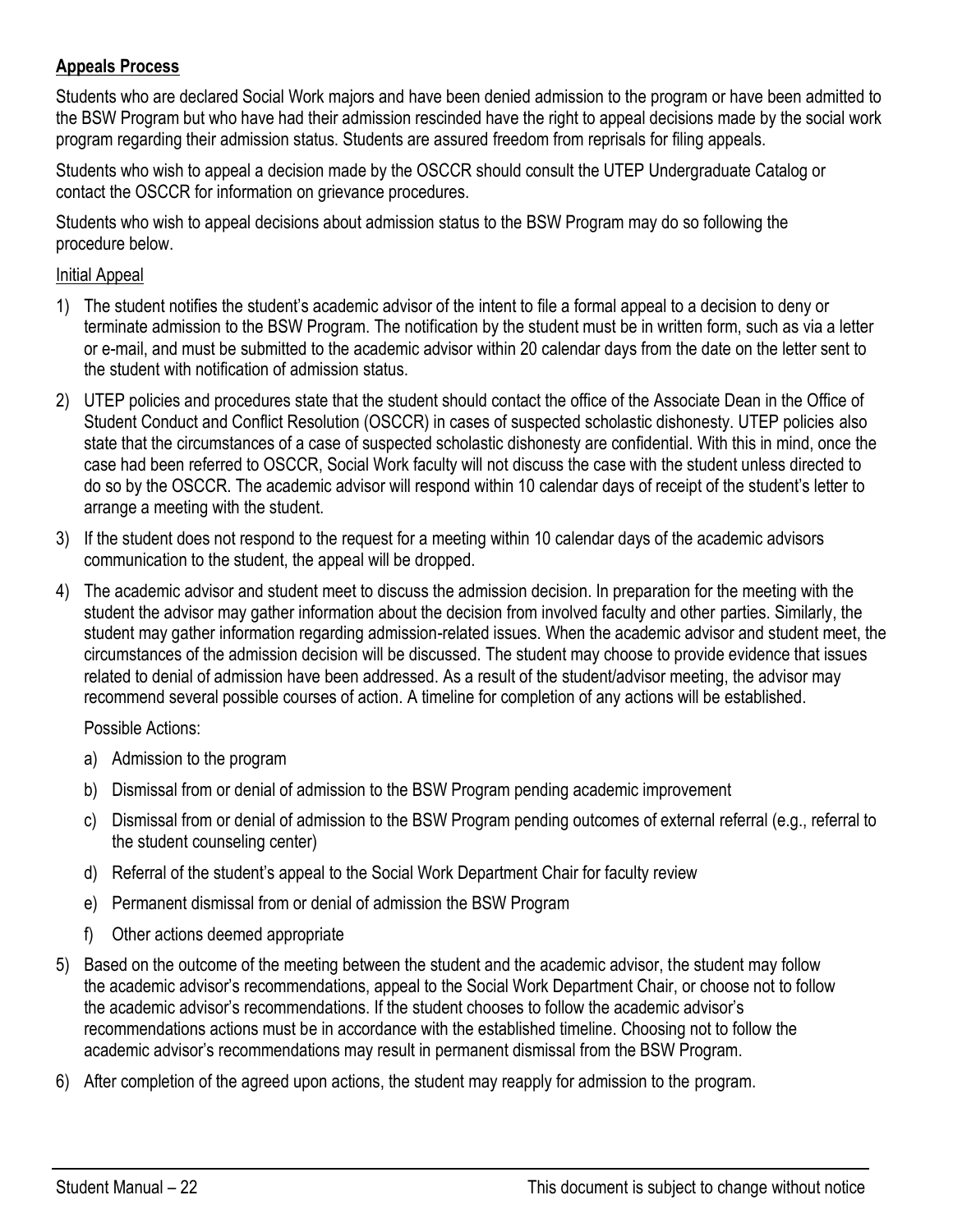### **Appeals Process**

Students who are declared Social Work majors and have been denied admission to the program or have been admitted to the BSW Program but who have had their admission rescinded have the right to appeal decisions made by the social work program regarding their admission status. Students are assured freedom from reprisals for filing appeals.

Students who wish to appeal a decision made by the OSCCR should consult the UTEP Undergraduate Catalog or contact the OSCCR for information on grievance procedures.

Students who wish to appeal decisions about admission status to the BSW Program may do so following the procedure below.

#### Initial Appeal

- 1) The student notifies the student's academic advisor of the intent to file a formal appeal to a decision to deny or terminate admission to the BSW Program. The notification by the student must be in written form, such as via a letter or e-mail, and must be submitted to the academic advisor within 20 calendar days from the date on the letter sent to the student with notification of admission status.
- 2) UTEP policies and procedures state that the student should contact the office of the Associate Dean in the Office of Student Conduct and Conflict Resolution (OSCCR) in cases of suspected scholastic dishonesty. UTEP policies also state that the circumstances of a case of suspected scholastic dishonesty are confidential. With this in mind, once the case had been referred to OSCCR, Social Work faculty will not discuss the case with the student unless directed to do so by the OSCCR. The academic advisor will respond within 10 calendar days of receipt of the student's letter to arrange a meeting with the student.
- 3) If the student does not respond to the request for a meeting within 10 calendar days of the academic advisors communication to the student, the appeal will be dropped.
- 4) The academic advisor and student meet to discuss the admission decision. In preparation for the meeting with the student the advisor may gather information about the decision from involved faculty and other parties. Similarly, the student may gather information regarding admission-related issues. When the academic advisor and student meet, the circumstances of the admission decision will be discussed. The student may choose to provide evidence that issues related to denial of admission have been addressed. As a result of the student/advisor meeting, the advisor may recommend several possible courses of action. A timeline for completion of any actions will be established.

Possible Actions:

- a) Admission to the program
- b) Dismissal from or denial of admission to the BSW Program pending academic improvement
- c) Dismissal from or denial of admission to the BSW Program pending outcomes of external referral (e.g., referral to the student counseling center)
- d) Referral of the student's appeal to the Social Work Department Chair for faculty review
- e) Permanent dismissal from or denial of admission the BSW Program
- f) Other actions deemed appropriate
- 5) Based on the outcome of the meeting between the student and the academic advisor, the student may follow the academic advisor's recommendations, appeal to the Social Work Department Chair, or choose not to follow the academic advisor's recommendations. If the student chooses to follow the academic advisor's recommendations actions must be in accordance with the established timeline. Choosing not to follow the academic advisor's recommendations may result in permanent dismissal from the BSW Program.
- 6) After completion of the agreed upon actions, the student may reapply for admission to the program.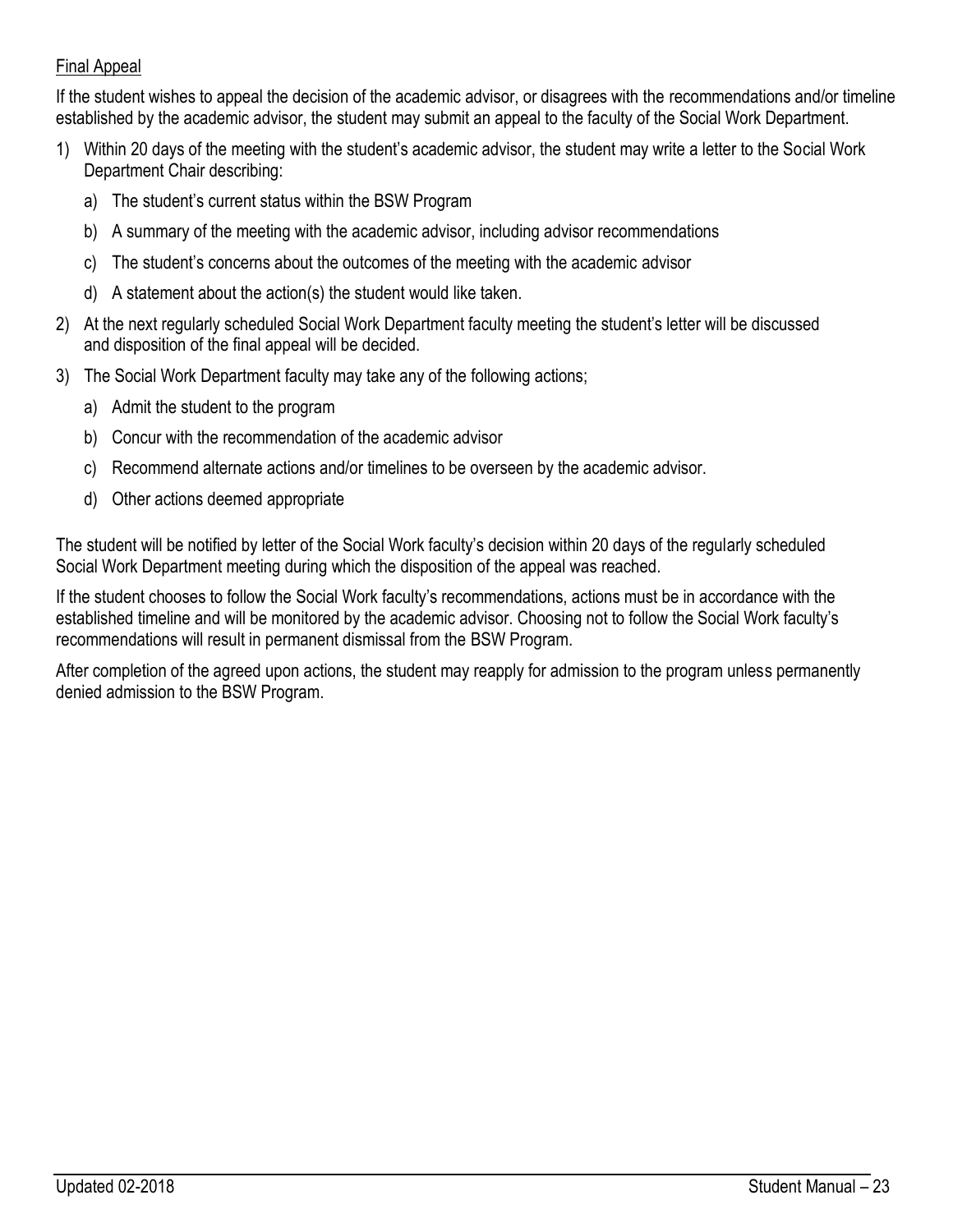### Final Appeal

If the student wishes to appeal the decision of the academic advisor, or disagrees with the recommendations and/or timeline established by the academic advisor, the student may submit an appeal to the faculty of the Social Work Department.

- 1) Within 20 days of the meeting with the student's academic advisor, the student may write a letter to the Social Work Department Chair describing:
	- a) The student's current status within the BSW Program
	- b) A summary of the meeting with the academic advisor, including advisor recommendations
	- c) The student's concerns about the outcomes of the meeting with the academic advisor
	- d) A statement about the action(s) the student would like taken.
- 2) At the next regularly scheduled Social Work Department faculty meeting the student's letter will be discussed and disposition of the final appeal will be decided.
- 3) The Social Work Department faculty may take any of the following actions;
	- a) Admit the student to the program
	- b) Concur with the recommendation of the academic advisor
	- c) Recommend alternate actions and/or timelines to be overseen by the academic advisor.
	- d) Other actions deemed appropriate

The student will be notified by letter of the Social Work faculty's decision within 20 days of the regularly scheduled Social Work Department meeting during which the disposition of the appeal was reached.

If the student chooses to follow the Social Work faculty's recommendations, actions must be in accordance with the established timeline and will be monitored by the academic advisor. Choosing not to follow the Social Work faculty's recommendations will result in permanent dismissal from the BSW Program.

After completion of the agreed upon actions, the student may reapply for admission to the program unless permanently denied admission to the BSW Program.